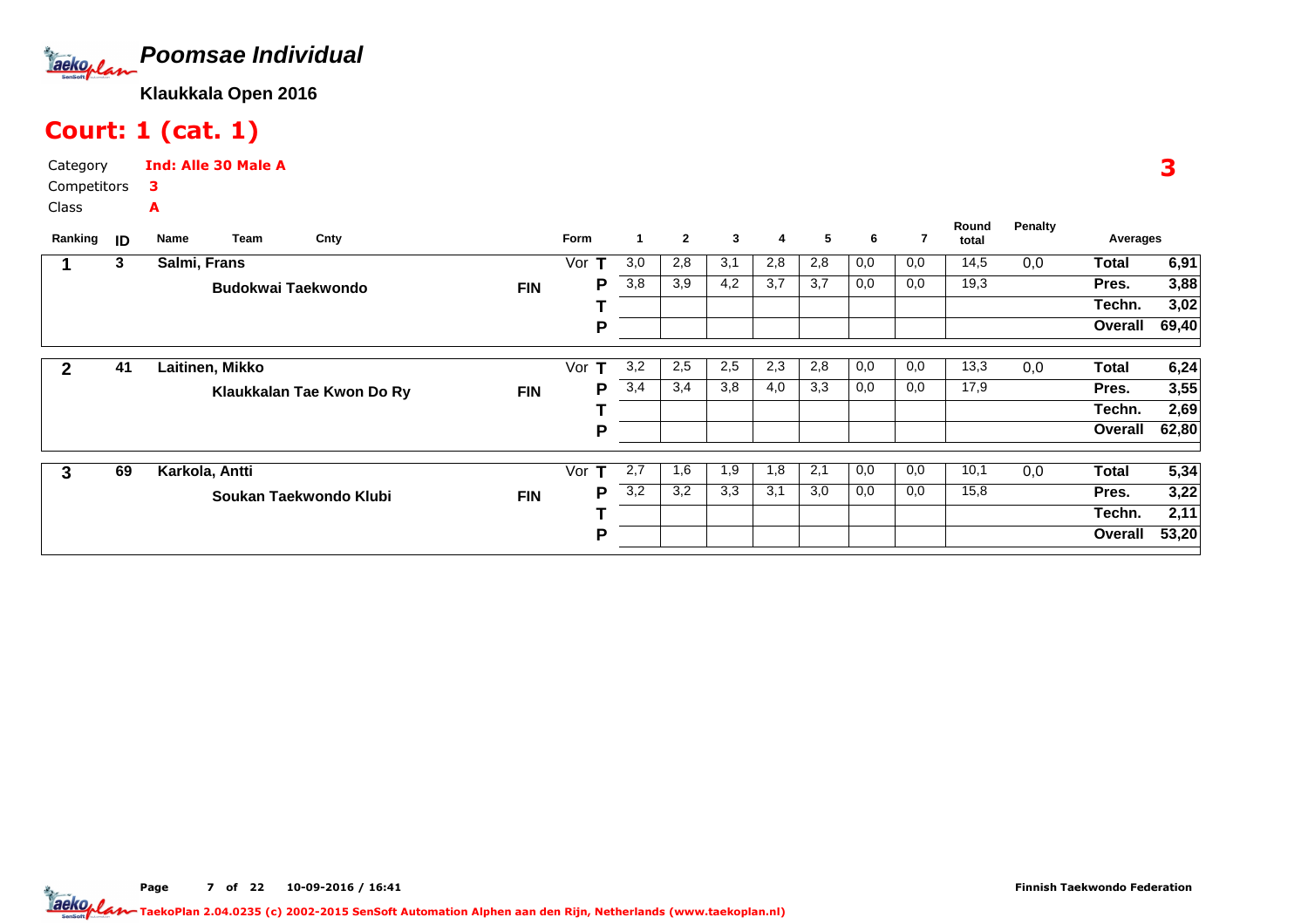

# Court: 1 (cat. 1)

Category CompetitorsClassInd: Alle 30 Male A3A

| Ranking | ID | Team<br>Name              | Cnty                      |            | Form                | 1                | $\mathbf{2}$ | 3   | 4   | 5   | 6   | 7   | Round<br>total | <b>Penalty</b> | Averages     |       |
|---------|----|---------------------------|---------------------------|------------|---------------------|------------------|--------------|-----|-----|-----|-----|-----|----------------|----------------|--------------|-------|
|         | 3  | Salmi, Frans              |                           |            | Vor<br>т            | 3,0              | 2,8          | 3,1 | 2,8 | 2,8 | 0,0 | 0,0 | 14,5           | 0,0            | <b>Total</b> | 6,91  |
|         |    | <b>Budokwai Taekwondo</b> |                           | <b>FIN</b> | Р                   | 3,8              | 3,9          | 4,2 | 3,7 | 3,7 | 0,0 | 0,0 | 19,3           |                | Pres.        | 3,88  |
|         |    |                           |                           |            |                     |                  |              |     |     |     |     |     |                |                | Techn.       | 3,02  |
|         |    |                           |                           |            | P                   |                  |              |     |     |     |     |     |                |                | Overall      | 69,40 |
| 2       | 41 | Laitinen, Mikko           |                           |            | Vor<br>т            | 3,2              | 2,5          | 2,5 | 2,3 | 2,8 | 0,0 | 0,0 | 13,3           | 0,0            | Total        | 6,24  |
|         |    |                           | Klaukkalan Tae Kwon Do Ry | <b>FIN</b> | P                   | 3,4              | 3,4          | 3,8 | 4,0 | 3,3 | 0,0 | 0,0 | 17,9           |                | Pres.        | 3,55  |
|         |    |                           |                           |            |                     |                  |              |     |     |     |     |     |                |                | Techn.       | 2,69  |
|         |    |                           |                           |            | P                   |                  |              |     |     |     |     |     |                |                | Overall      | 62,80 |
|         |    |                           |                           |            |                     |                  |              |     |     |     |     |     |                |                |              |       |
| 3       | 69 | Karkola, Antti            |                           |            | Vor<br>$\mathbf{T}$ | 2,7              | 1,6          | 1,9 | 1,8 | 2,1 | 0,0 | 0,0 | 10,1           | 0,0            | Total        | 5,34  |
|         |    |                           | Soukan Taekwondo Klubi    | <b>FIN</b> | Р                   | $\overline{3,2}$ | 3,2          | 3,3 | 3,1 | 3,0 | 0,0 | 0,0 | 15,8           |                | Pres.        | 3,22  |
|         |    |                           |                           |            |                     |                  |              |     |     |     |     |     |                |                | Techn.       | 2,11  |
|         |    |                           |                           |            | P                   |                  |              |     |     |     |     |     |                |                | Overall      | 53,20 |

3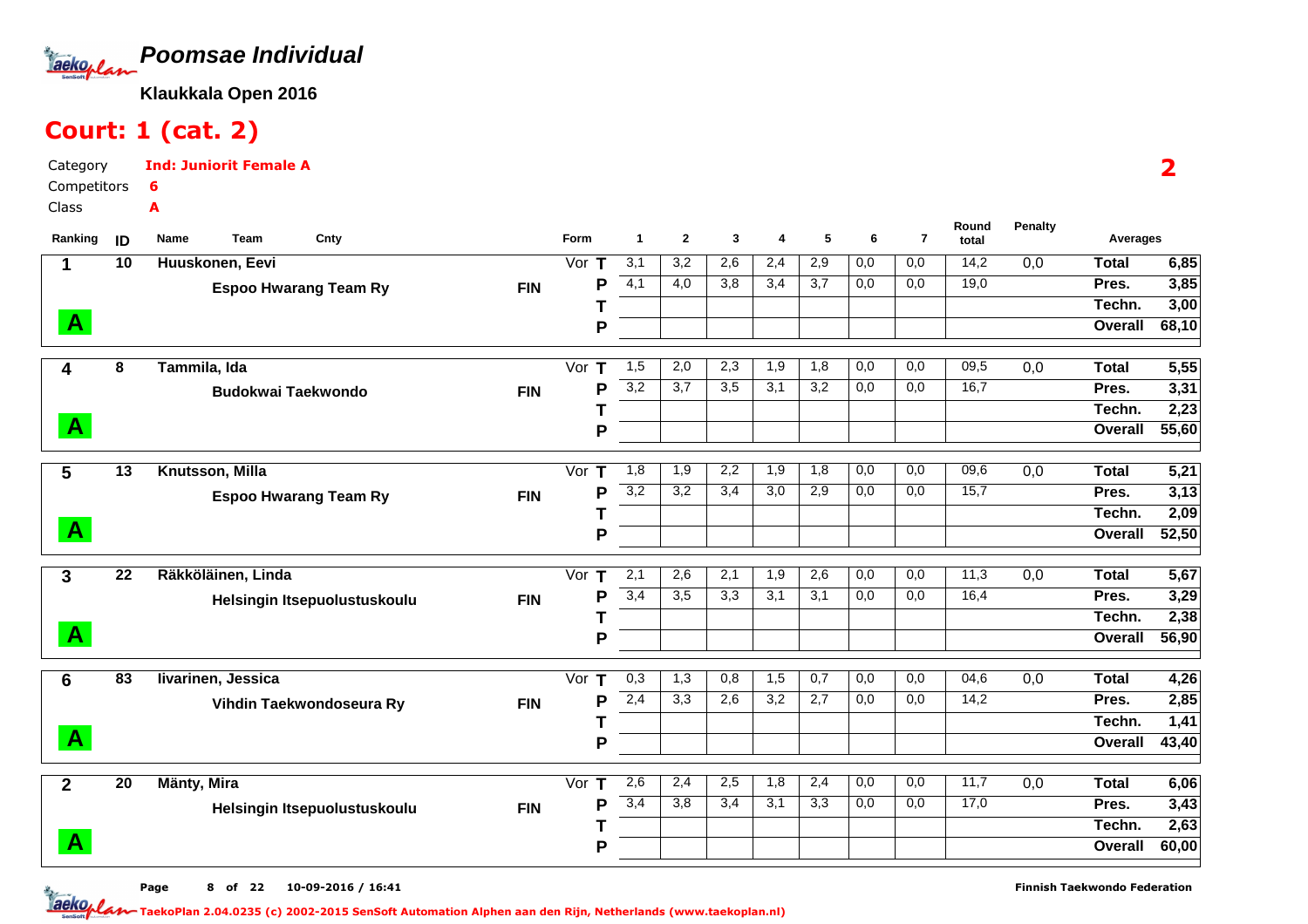

Ind: Juniorit Female A

# Court: 1 (cat. 2)

6A

CategoryCompetitors

Class

2

| Ranking      | ID              | Team<br>Cnty<br>Name         |            | Form                         | $\mathbf{1}$     | $\overline{2}$   | 3   | 4   | 5   | 6                | $\overline{7}$ | Round<br>total | <b>Penalty</b>   | Averages     |       |
|--------------|-----------------|------------------------------|------------|------------------------------|------------------|------------------|-----|-----|-----|------------------|----------------|----------------|------------------|--------------|-------|
| $\mathbf 1$  | 10              | Huuskonen, Eevi              |            | $\overline{\text{Vor } T}$   | 3,1              | 3,2              | 2,6 | 2,4 | 2,9 | 0,0              | 0,0            | 14,2           | 0,0              | Total        | 6,85  |
|              |                 | <b>Espoo Hwarang Team Ry</b> | <b>FIN</b> | Þ                            | $\overline{4,1}$ | 4,0              | 3,8 | 3,4 | 3,7 | 0,0              | 0,0            | 19,0           |                  | Pres.        | 3,85  |
|              |                 |                              |            |                              |                  |                  |     |     |     |                  |                |                |                  | Techn.       | 3,00  |
| $\mathbf{A}$ |                 |                              |            | P                            |                  |                  |     |     |     |                  |                |                |                  | Overall      | 68,10 |
| 4            | 8               | Tammila, Ida                 |            | Vor<br>т                     | 1,5              | 2,0              | 2,3 | 1,9 | 1,8 | $\overline{0,0}$ | 0,0            | 09,5           | $\overline{0,0}$ | <b>Total</b> | 5,55  |
|              |                 | <b>Budokwai Taekwondo</b>    | <b>FIN</b> | Þ                            | 3,2              | 3,7              | 3,5 | 3,1 | 3,2 | 0,0              | 0,0            | 16,7           |                  | Pres.        | 3,31  |
|              |                 |                              |            |                              |                  |                  |     |     |     |                  |                |                |                  | Techn.       | 2,23  |
| $\mathbf{A}$ |                 |                              |            | P                            |                  |                  |     |     |     |                  |                |                |                  | Overall      | 55,60 |
|              | $\overline{13}$ | Knutsson, Milla              |            | Vor<br>т                     | 1,8              | $\overline{1,9}$ | 2,2 | 1,9 | 1,8 | 0,0              | 0,0            | 09,6           | 0,0              | <b>Total</b> | 5,21  |
| 5            |                 |                              |            | P                            | 3,2              | 3,2              | 3,4 | 3,0 | 2,9 | 0,0              | 0,0            | 15,7           |                  | Pres.        | 3,13  |
|              |                 | <b>Espoo Hwarang Team Ry</b> | <b>FIN</b> |                              |                  |                  |     |     |     |                  |                |                |                  | Techn.       | 2,09  |
| $\mathbf{A}$ |                 |                              |            | P                            |                  |                  |     |     |     |                  |                |                |                  | Overall      | 52,50 |
|              |                 |                              |            |                              |                  |                  |     |     |     |                  |                |                |                  |              |       |
| 3            | 22              | Räkköläinen, Linda           |            | Vor<br>т                     | $\overline{2,1}$ | 2,6              | 2,1 | 1,9 | 2,6 | 0,0              | 0,0            | 11,3           | 0,0              | Total        | 5,67  |
|              |                 | Helsingin Itsepuolustuskoulu | <b>FIN</b> | P                            | 3,4              | $\overline{3,5}$ | 3,3 | 3,1 | 3,1 | 0,0              | 0,0            | 16,4           |                  | Pres.        | 3,29  |
|              |                 |                              |            |                              |                  |                  |     |     |     |                  |                |                |                  | Techn.       | 2,38  |
| $\mathbf{A}$ |                 |                              |            | P                            |                  |                  |     |     |     |                  |                |                |                  | Overall      | 56,90 |
| 6            | $\overline{83}$ | livarinen, Jessica           |            | Vor<br>т                     | 0,3              | 1,3              | 0,8 | 1,5 | 0,7 | 0,0              | 0,0            | 04,6           | 0,0              | <b>Total</b> | 4,26  |
|              |                 | Vihdin Taekwondoseura Ry     | <b>FIN</b> | P                            | 2,4              | 3,3              | 2,6 | 3,2 | 2,7 | 0,0              | 0,0            | 14,2           |                  | Pres.        | 2,85  |
|              |                 |                              |            |                              |                  |                  |     |     |     |                  |                |                |                  | Techn.       | 1,41  |
| $\mathbf{A}$ |                 |                              |            | P                            |                  |                  |     |     |     |                  |                |                |                  | Overall      | 43,40 |
| $\mathbf{2}$ | $\overline{20}$ | Mänty, Mira                  |            | $\overline{\text{Vor}}$<br>т | 2,6              | 2,4              | 2,5 | 1,8 | 2,4 | 0,0              | 0,0            | 11,7           | $\overline{0,0}$ | <b>Total</b> | 6,06  |
|              |                 |                              | <b>FIN</b> | P                            | 3,4              | 3,8              | 3,4 | 3,1 | 3,3 | 0,0              | 0,0            | 17,0           |                  | Pres.        | 3,43  |
|              |                 | Helsingin Itsepuolustuskoulu |            |                              |                  |                  |     |     |     |                  |                |                |                  | Techn.       | 2,63  |
| $\mathbf{A}$ |                 |                              |            | P                            |                  |                  |     |     |     |                  |                |                |                  | Overall      | 60,00 |
|              |                 |                              |            |                              |                  |                  |     |     |     |                  |                |                |                  |              |       |

Page 8 of 22 10-09-2016 / 16:41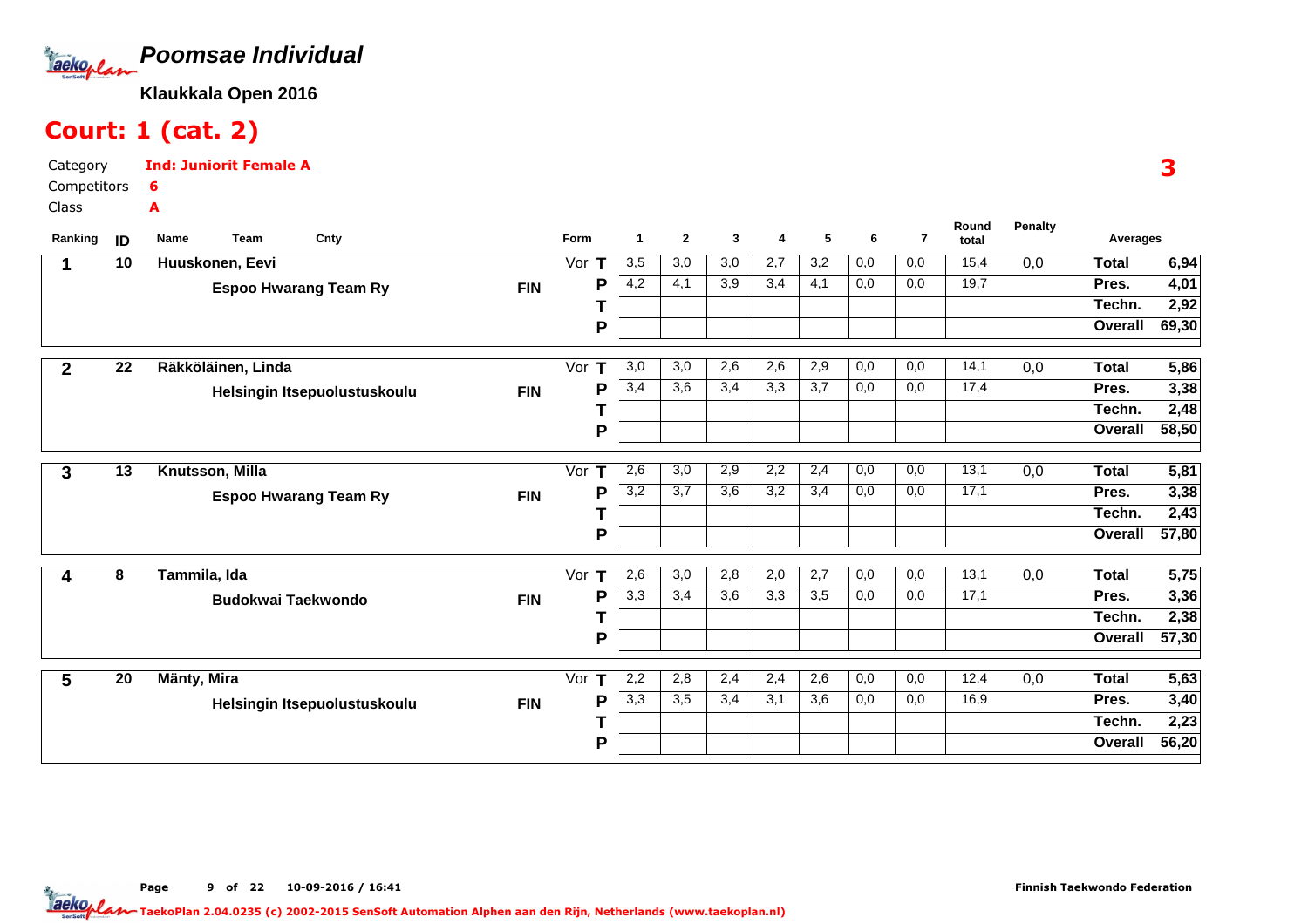

### Court: 1 (cat. 2)

Category CompetitorsClassInd: Juniorit Female A6A

| Ranking        | ID              | Name<br><b>Team</b>          | Cnty                         |            | Form     | 1                | $\mathbf{2}$     | 3                | 4   | 5                | 6   | $\overline{7}$   | Round<br>total | <b>Penalty</b> | Averages     |                   |
|----------------|-----------------|------------------------------|------------------------------|------------|----------|------------------|------------------|------------------|-----|------------------|-----|------------------|----------------|----------------|--------------|-------------------|
| 1              | 10              | Huuskonen, Eevi              |                              |            | Vor<br>т | $\overline{3,5}$ | 3,0              | $\overline{3,0}$ | 2,7 | $\overline{3,2}$ | 0,0 | 0,0              | 15,4           | 0,0            | <b>Total</b> | 6,94              |
|                |                 | <b>Espoo Hwarang Team Ry</b> |                              | <b>FIN</b> | P        | 4,2              | 4,1              | 3,9              | 3,4 | 4,1              | 0,0 | 0,0              | 19,7           |                | Pres.        | 4,01              |
|                |                 |                              |                              |            |          |                  |                  |                  |     |                  |     |                  |                |                | Techn.       | 2,92              |
|                |                 |                              |                              |            | P        |                  |                  |                  |     |                  |     |                  |                |                | Overall      | 69,30             |
| $\overline{2}$ | 22              | Räkköläinen, Linda           |                              |            | Vor $T$  | 3,0              | 3,0              | 2,6              | 2,6 | 2,9              | 0,0 | 0,0              | 14,1           | 0,0            | <b>Total</b> | 5,86              |
|                |                 |                              | Helsingin Itsepuolustuskoulu | <b>FIN</b> | Р        | 3,4              | $\overline{3,6}$ | 3,4              | 3,3 | 3,7              | 0,0 | $\overline{0,0}$ | 17,4           |                | Pres.        | 3,38              |
|                |                 |                              |                              |            |          |                  |                  |                  |     |                  |     |                  |                |                | Techn.       | 2,48              |
|                |                 |                              |                              |            | P        |                  |                  |                  |     |                  |     |                  |                |                | Overall      | 58,50             |
| 3              | 13              | Knutsson, Milla              |                              |            | Vor T    | 2,6              | 3,0              | 2,9              | 2,2 | 2,4              | 0,0 | 0,0              | 13,1           | 0,0            | <b>Total</b> | 5,81              |
|                |                 | <b>Espoo Hwarang Team Ry</b> |                              | <b>FIN</b> | P        | 3,2              | 3,7              | 3,6              | 3,2 | 3,4              | 0,0 | 0,0              | 17,1           |                | Pres.        | 3,38              |
|                |                 |                              |                              |            |          |                  |                  |                  |     |                  |     |                  |                |                | Techn.       | 2,43              |
|                |                 |                              |                              |            | P        |                  |                  |                  |     |                  |     |                  |                |                | Overall      | 57,80             |
| 4              | 8               | Tammila, Ida                 |                              |            | Vor $T$  | 2,6              | 3,0              | 2,8              | 2,0 | 2,7              | 0,0 | 0,0              | 13,1           | 0,0            | <b>Total</b> | $\overline{5,75}$ |
|                |                 | <b>Budokwai Taekwondo</b>    |                              | <b>FIN</b> | P        | $\overline{3,3}$ | 3,4              | 3,6              | 3,3 | 3,5              | 0,0 | 0,0              | 17,1           |                | Pres.        | 3,36              |
|                |                 |                              |                              |            |          |                  |                  |                  |     |                  |     |                  |                |                | Techn.       | 2,38              |
|                |                 |                              |                              |            | P        |                  |                  |                  |     |                  |     |                  |                |                | Overall      | 57,30             |
| 5              | $\overline{20}$ | Mänty, Mira                  |                              |            | Vor $T$  | 2,2              | 2,8              | 2,4              | 2,4 | 2,6              | 0,0 | 0,0              | 12,4           | 0,0            | <b>Total</b> | $\overline{5,63}$ |
|                |                 |                              | Helsingin Itsepuolustuskoulu | <b>FIN</b> | P        | 3,3              | 3,5              | 3,4              | 3,1 | 3,6              | 0,0 | 0,0              | 16,9           |                | Pres.        | 3,40              |
|                |                 |                              |                              |            |          |                  |                  |                  |     |                  |     |                  |                |                | Techn.       | 2,23              |
|                |                 |                              |                              |            | Р        |                  |                  |                  |     |                  |     |                  |                |                | Overall      | 56,20             |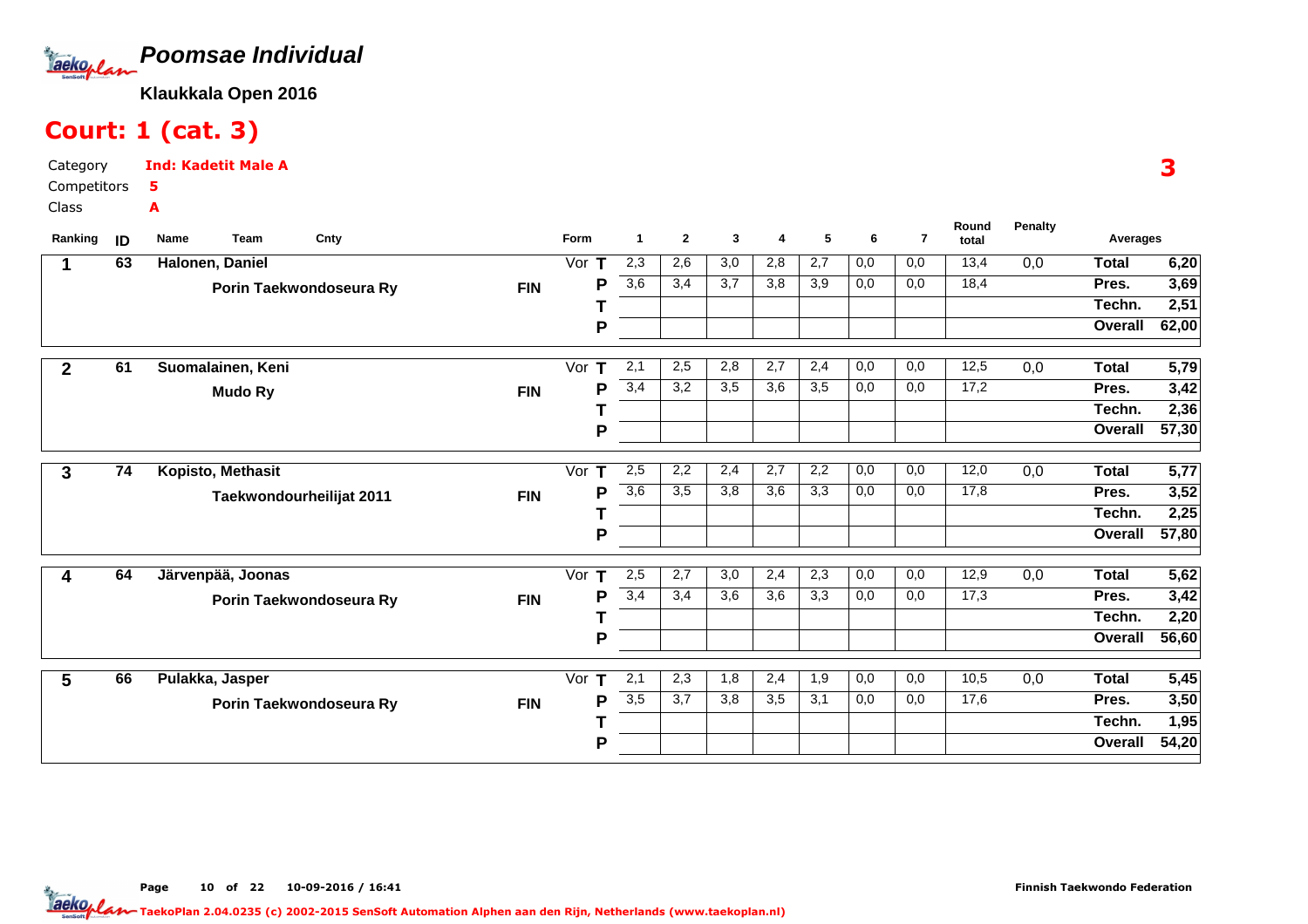

### Court: 1 (cat. 3)

Category CompetitorsClassInd: Kadetit Male A5A

| Ranking      | ID | Name<br><b>Team</b>      | Cnty |            | Form     | 1                | $\mathbf{2}$ | 3                | 4   | 5   | 6   | $\overline{7}$ | Round<br>total    | <b>Penalty</b> | Averages     |                   |
|--------------|----|--------------------------|------|------------|----------|------------------|--------------|------------------|-----|-----|-----|----------------|-------------------|----------------|--------------|-------------------|
| 1            | 63 | Halonen, Daniel          |      |            | Vor $T$  | 2,3              | 2,6          | $\overline{3,0}$ | 2,8 | 2,7 | 0,0 | 0,0            | 13,4              | 0,0            | <b>Total</b> | 6,20              |
|              |    | Porin Taekwondoseura Ry  |      | <b>FIN</b> | P        | $\overline{3,6}$ | 3,4          | 3,7              | 3,8 | 3,9 | 0,0 | 0,0            | 18,4              |                | Pres.        | 3,69              |
|              |    |                          |      |            |          |                  |              |                  |     |     |     |                |                   |                | Techn.       | 2,51              |
|              |    |                          |      |            | P        |                  |              |                  |     |     |     |                |                   |                | Overall      | 62,00             |
| $\mathbf{2}$ | 61 | Suomalainen, Keni        |      |            | Vor $T$  | 2,1              | 2,5          | 2,8              | 2,7 | 2,4 | 0,0 | 0,0            | 12,5              | 0,0            | <b>Total</b> | 5,79              |
|              |    | <b>Mudo Ry</b>           |      | <b>FIN</b> | Р        | 3,4              | 3,2          | 3,5              | 3,6 | 3,5 | 0,0 | 0,0            | 17,2              |                | Pres.        | $\overline{3,42}$ |
|              |    |                          |      |            |          |                  |              |                  |     |     |     |                |                   |                | Techn.       | 2,36              |
|              |    |                          |      |            | P        |                  |              |                  |     |     |     |                |                   |                | Overall      | 57,30             |
| 3            | 74 | Kopisto, Methasit        |      |            | Vor T    | 2,5              | 2,2          | 2,4              | 2,7 | 2,2 | 0,0 | 0,0            | 12,0              | 0,0            | <b>Total</b> | 5,77              |
|              |    | Taekwondourheilijat 2011 |      | <b>FIN</b> | P        | 3,6              | 3,5          | 3,8              | 3,6 | 3,3 | 0,0 | 0,0            | 17,8              |                | Pres.        | 3,52              |
|              |    |                          |      |            |          |                  |              |                  |     |     |     |                |                   |                | Techn.       | 2,25              |
|              |    |                          |      |            | P        |                  |              |                  |     |     |     |                |                   |                | Overall      | 57,80             |
| 4            | 64 | Järvenpää, Joonas        |      |            | T<br>Vor | 2,5              | 2,7          | $\overline{3,0}$ | 2,4 | 2,3 | 0,0 | 0,0            | 12,9              | 0,0            | <b>Total</b> | $\overline{5,62}$ |
|              |    | Porin Taekwondoseura Ry  |      | <b>FIN</b> | Р        | 3,4              | 3,4          | 3,6              | 3,6 | 3,3 | 0,0 | 0,0            | $\overline{17,3}$ |                | Pres.        | 3,42              |
|              |    |                          |      |            |          |                  |              |                  |     |     |     |                |                   |                | Techn.       | 2,20              |
|              |    |                          |      |            | P        |                  |              |                  |     |     |     |                |                   |                | Overall      | 56,60             |
| 5            | 66 | Pulakka, Jasper          |      |            | Vor<br>т | 2,1              | 2,3          | 1,8              | 2,4 | 1,9 | 0,0 | 0,0            | 10,5              | 0,0            | <b>Total</b> | 5,45              |
|              |    | Porin Taekwondoseura Ry  |      | <b>FIN</b> | P        | $\overline{3,5}$ | 3,7          | 3,8              | 3,5 | 3,1 | 0,0 | 0,0            | 17,6              |                | Pres.        | 3,50              |
|              |    |                          |      |            |          |                  |              |                  |     |     |     |                |                   |                | Techn.       | 1,95              |
|              |    |                          |      |            | P        |                  |              |                  |     |     |     |                |                   |                | Overall      | 54,20             |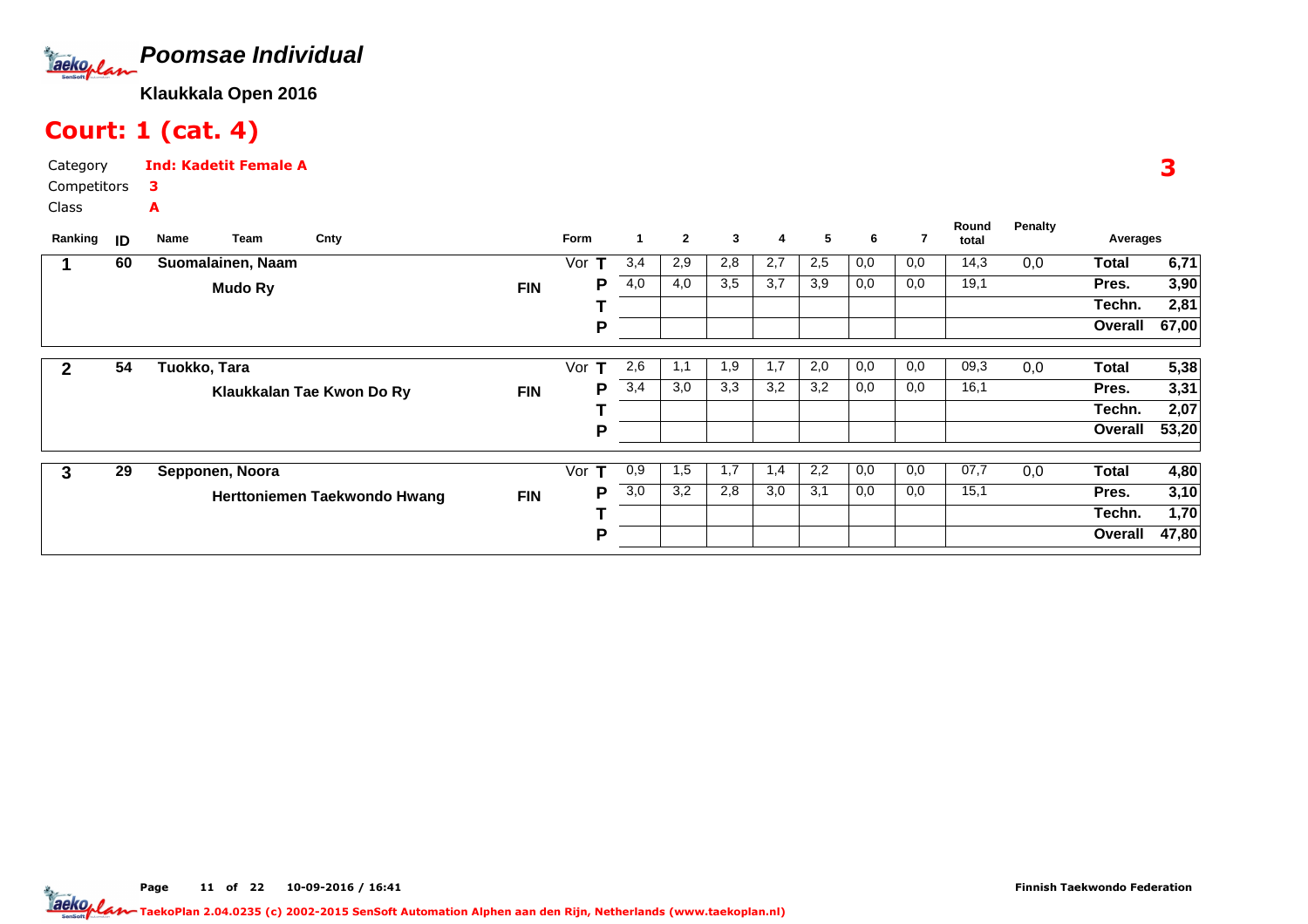

# Court: 1 (cat. 4)

Category CompetitorsClassInd: Kadetit Female A3A

| Ranking | ID | Team<br>Name      | Cnty                         |            | <b>Form</b> | 1   | $\mathbf{2}$ | 3   | 4   | 5   | 6   | 7   | Round<br>total | <b>Penalty</b> | Averages     |       |
|---------|----|-------------------|------------------------------|------------|-------------|-----|--------------|-----|-----|-----|-----|-----|----------------|----------------|--------------|-------|
|         | 60 | Suomalainen, Naam |                              |            | Vor         | 3,4 | 2,9          | 2,8 | 2,7 | 2,5 | 0,0 | 0,0 | 14,3           | 0,0            | <b>Total</b> | 6,71  |
|         |    | <b>Mudo Ry</b>    |                              | <b>FIN</b> | Р           | 4,0 | 4,0          | 3,5 | 3,7 | 3,9 | 0,0 | 0,0 | 19,1           |                | Pres.        | 3,90  |
|         |    |                   |                              |            |             |     |              |     |     |     |     |     |                |                | Techn.       | 2,81  |
|         |    |                   |                              |            | P           |     |              |     |     |     |     |     |                |                | Overall      | 67,00 |
|         |    |                   |                              |            | Vor<br>т    | 2,6 |              | 1,9 | 1,7 | 2,0 | 0,0 | 0,0 | 09,3           |                | <b>Total</b> |       |
| 2       | 54 | Tuokko, Tara      |                              |            |             |     | 1,1          |     |     |     |     |     |                | 0,0            |              | 5,38  |
|         |    |                   | Klaukkalan Tae Kwon Do Ry    | <b>FIN</b> | P           | 3,4 | 3,0          | 3,3 | 3,2 | 3,2 | 0,0 | 0,0 | 16,1           |                | Pres.        | 3,31  |
|         |    |                   |                              |            |             |     |              |     |     |     |     |     |                |                | Techn.       | 2,07  |
|         |    |                   |                              |            | Р           |     |              |     |     |     |     |     |                |                | Overall      | 53,20 |
|         |    |                   |                              |            |             |     |              |     |     |     |     |     |                |                |              |       |
| 3       | 29 | Sepponen, Noora   |                              |            | Vor $T$     | 0,9 | 1,5          | 1,7 | 1,4 | 2,2 | 0,0 | 0,0 | 07,7           | 0,0            | <b>Total</b> | 4,80  |
|         |    |                   | Herttoniemen Taekwondo Hwang | <b>FIN</b> | P           | 3,0 | 3,2          | 2,8 | 3,0 | 3,1 | 0,0 | 0,0 | 15,1           |                | Pres.        | 3,10  |
|         |    |                   |                              |            |             |     |              |     |     |     |     |     |                |                | Techn.       | 1,70  |
|         |    |                   |                              |            | P           |     |              |     |     |     |     |     |                |                | Overall      | 47,80 |

3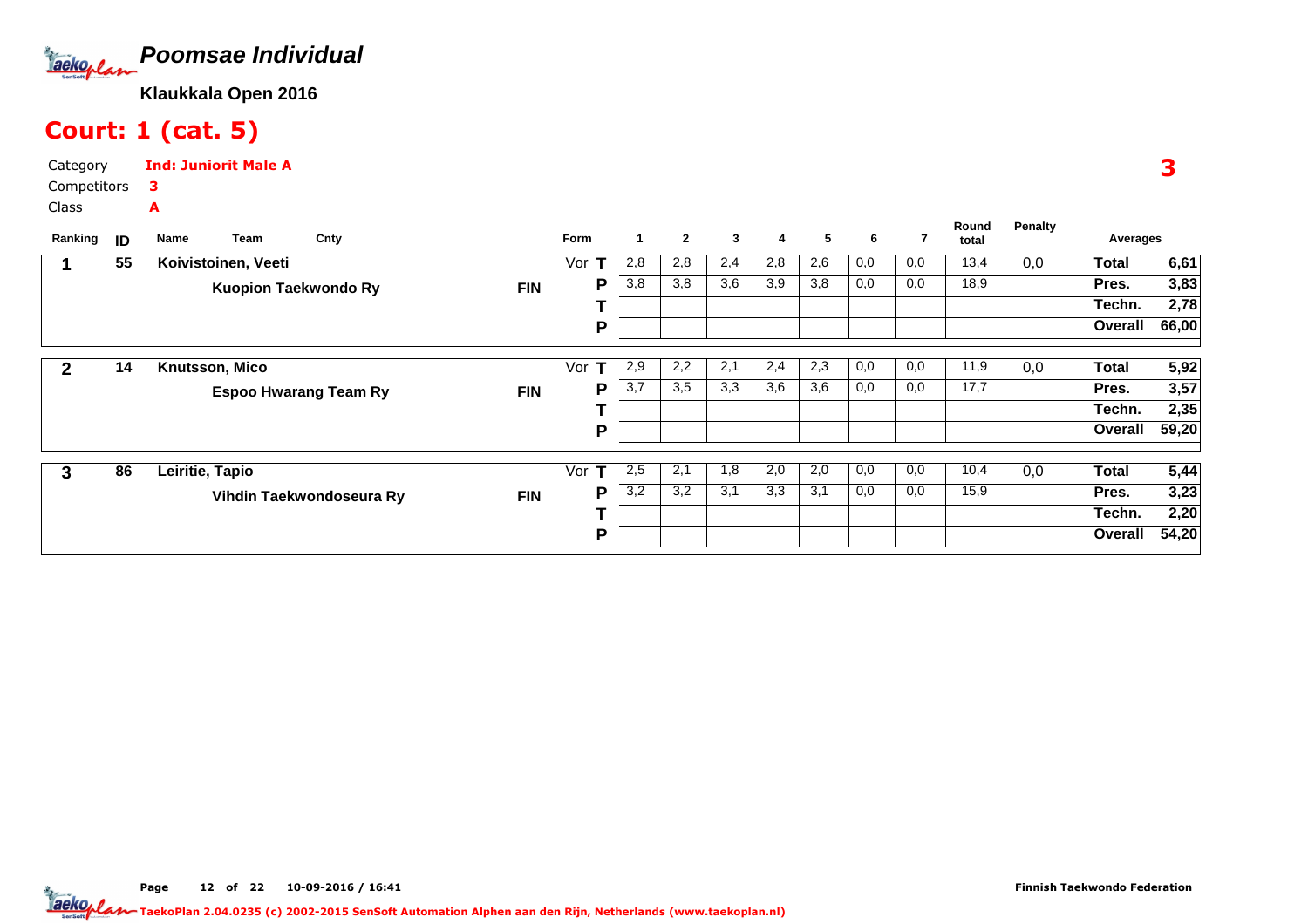

# Court: 1 (cat. 5)

Category CompetitorsClassInd: Juniorit Male A3A

| Ranking | ID | Team<br>Name                | Cnty                         |            | Form     |                  | $\mathbf{2}$ | 3   | 4   | 5   | 6   | 7   | Round<br>total | <b>Penalty</b> | Averages     |       |
|---------|----|-----------------------------|------------------------------|------------|----------|------------------|--------------|-----|-----|-----|-----|-----|----------------|----------------|--------------|-------|
|         | 55 | Koivistoinen, Veeti         |                              |            | Vor      | 2,8              | 2,8          | 2,4 | 2,8 | 2,6 | 0,0 | 0,0 | 13,4           | 0,0            | <b>Total</b> | 6,61  |
|         |    | <b>Kuopion Taekwondo Ry</b> |                              | <b>FIN</b> | Р        | 3,8              | 3,8          | 3,6 | 3,9 | 3,8 | 0,0 | 0,0 | 18,9           |                | Pres.        | 3,83  |
|         |    |                             |                              |            |          |                  |              |     |     |     |     |     |                |                | Techn.       | 2,78  |
|         |    |                             |                              |            | P        |                  |              |     |     |     |     |     |                |                | Overall      | 66,00 |
| 2       | 14 | Knutsson, Mico              |                              |            | Vor<br>т | 2,9              | 2,2          | 2,1 | 2,4 | 2,3 | 0,0 | 0,0 | 11,9           | 0,0            | <b>Total</b> | 5,92  |
|         |    |                             | <b>Espoo Hwarang Team Ry</b> | <b>FIN</b> | Р        | $\overline{3,7}$ | 3,5          | 3,3 | 3,6 | 3,6 | 0,0 | 0,0 | 17,7           |                | Pres.        | 3,57  |
|         |    |                             |                              |            |          |                  |              |     |     |     |     |     |                |                | Techn.       | 2,35  |
|         |    |                             |                              |            | Р        |                  |              |     |     |     |     |     |                |                | Overall      | 59,20 |
| 3       | 86 | Leiritie, Tapio             |                              |            | Vor<br>т | 2,5              | 2,1          | 1,8 | 2,0 | 2,0 | 0,0 | 0,0 | 10,4           | 0,0            | <b>Total</b> | 5,44  |
|         |    |                             | Vihdin Taekwondoseura Ry     | <b>FIN</b> | Р        | 3,2              | 3,2          | 3,1 | 3,3 | 3,1 | 0,0 | 0,0 | 15,9           |                | Pres.        | 3,23  |
|         |    |                             |                              |            |          |                  |              |     |     |     |     |     |                |                | Techn.       | 2,20  |
|         |    |                             |                              |            | Р        |                  |              |     |     |     |     |     |                |                | Overall      | 54,20 |

3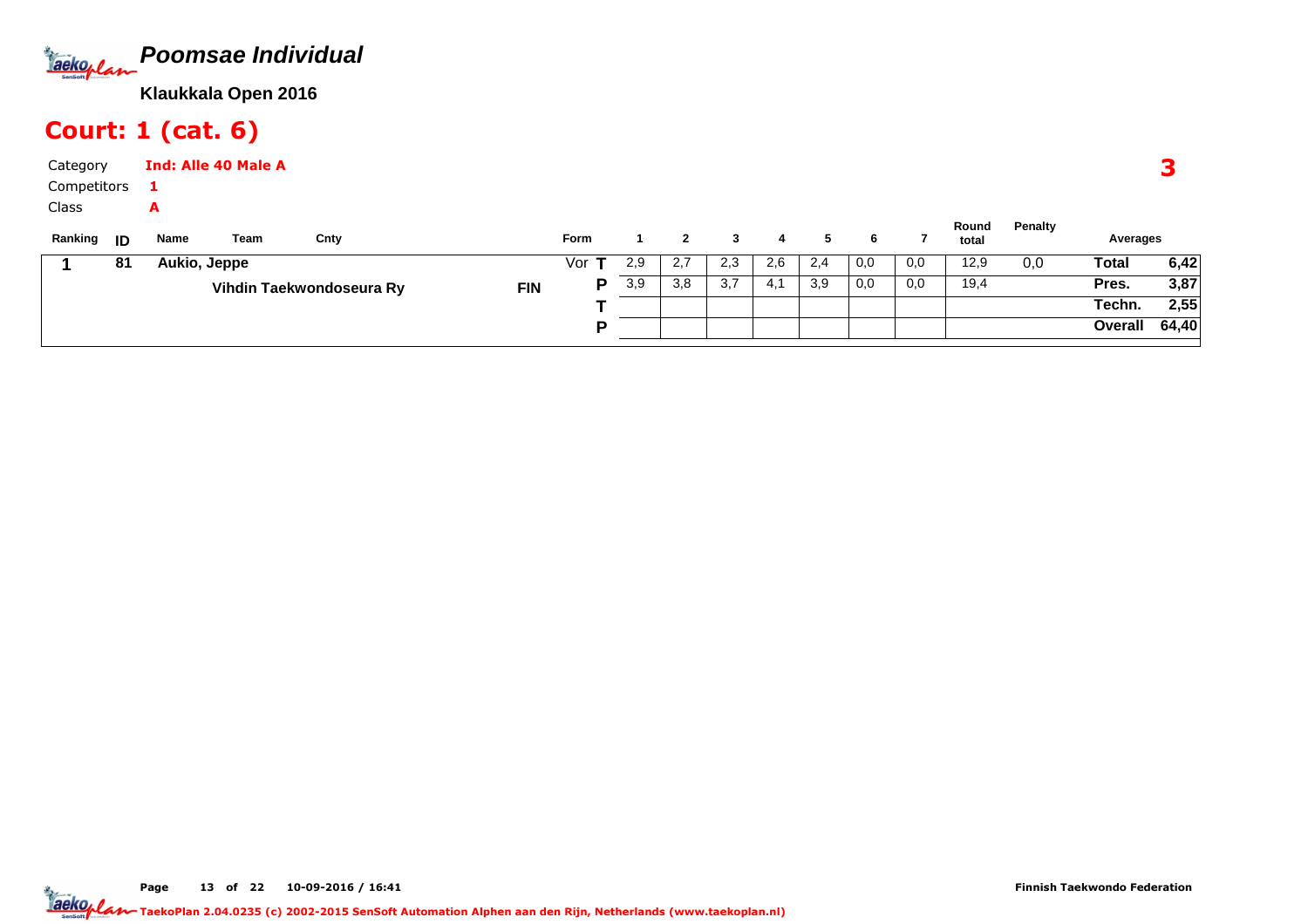

# Court: 1 (cat. 6)

| Category    |      |              | <b>Ind: Alle 40 Male A</b> |                          |            |             |     |     |     |      |     |     |     |                |         |              |      |
|-------------|------|--------------|----------------------------|--------------------------|------------|-------------|-----|-----|-----|------|-----|-----|-----|----------------|---------|--------------|------|
| Competitors |      |              |                            |                          |            |             |     |     |     |      |     |     |     |                |         |              |      |
| Class       |      | A            |                            |                          |            |             |     |     |     |      |     |     |     |                |         |              |      |
| Ranking     | - ID | Name         | Team                       | Cnty                     |            | <b>Form</b> |     |     |     | 4    |     | 6   |     | Round<br>total | Penalty | Averages     |      |
|             | 81   | Aukio, Jeppe |                            |                          |            | Vor         | 2,9 | 2,7 | 2,3 | 2,6  | 2,4 | 0,0 | 0,0 | 12,9           | 0,0     | <b>Total</b> | 6,42 |
|             |      |              |                            | Vihdin Taekwondoseura Ry | <b>FIN</b> | D           | 3,9 | 3,8 | 3,7 | -4.1 | 3,9 | 0,0 | 0,0 | 19,4           |         | Pres.        | 3,87 |
|             |      |              |                            |                          |            |             |     |     |     |      |     |     |     |                |         | Techn.       | 2,55 |

**P**

Page 13 of 22 10-09-2016 / 16:41 <sup>13</sup>

**Overall 64,40**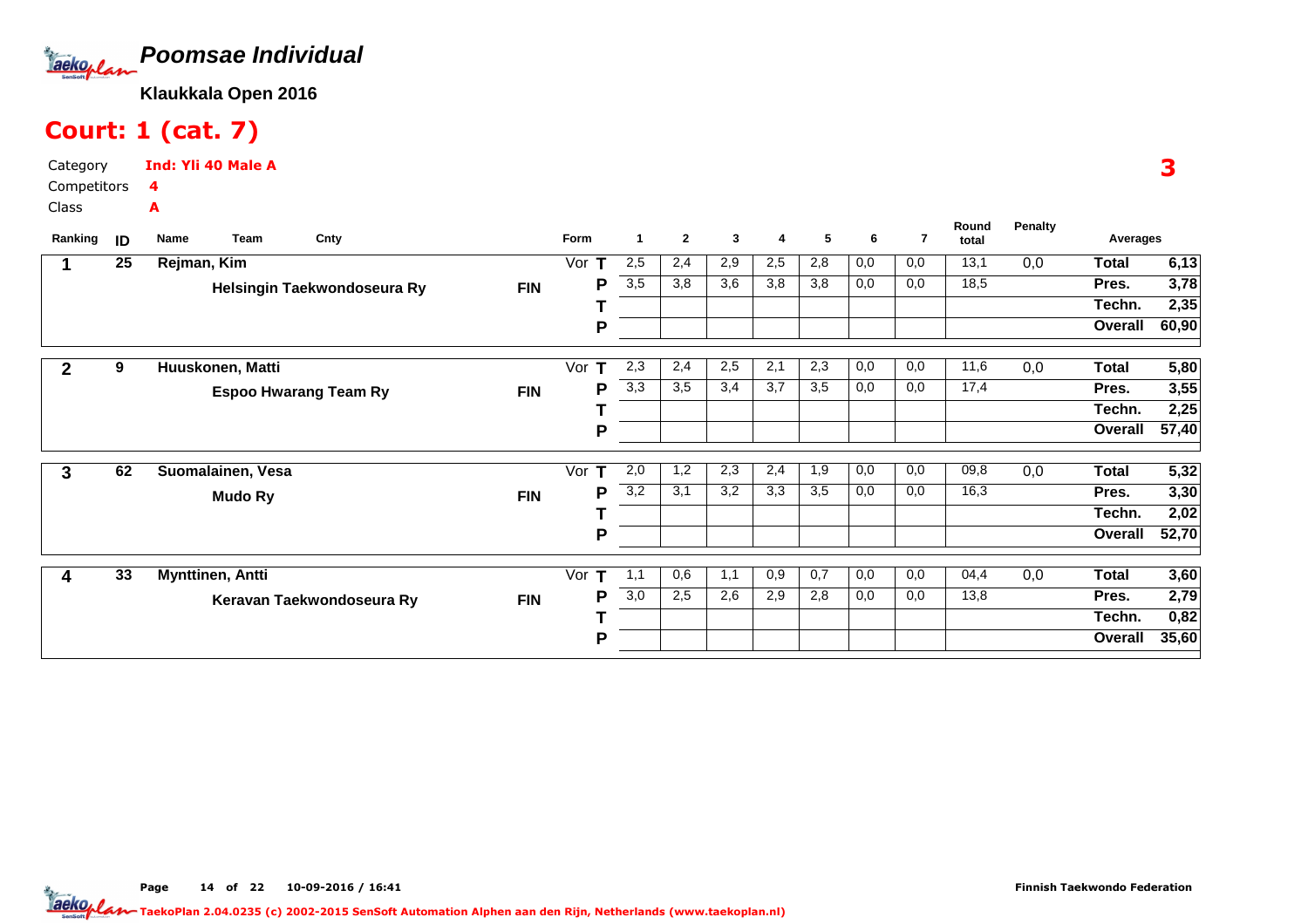

# Court: 1 (cat. 7)

Category CompetitorsClassInd: Yli 40 Male A4A

| Ranking      | ID | Name        | Team                    | Cnty                         |            | Form     |     | $\mathbf{2}$ | 3   | 4   | 5   | 6   | 7   | Round<br>total | Penalty | Averages     |       |
|--------------|----|-------------|-------------------------|------------------------------|------------|----------|-----|--------------|-----|-----|-----|-----|-----|----------------|---------|--------------|-------|
|              | 25 | Rejman, Kim |                         |                              |            | Vor      | 2,5 | 2,4          | 2,9 | 2,5 | 2,8 | 0,0 | 0,0 | 13,1           | 0,0     | <b>Total</b> | 6, 13 |
|              |    |             |                         | Helsingin Taekwondoseura Ry  | <b>FIN</b> | Р        | 3,5 | 3,8          | 3,6 | 3,8 | 3,8 | 0,0 | 0,0 | 18,5           |         | Pres.        | 3,78  |
|              |    |             |                         |                              |            |          |     |              |     |     |     |     |     |                |         | Techn.       | 2,35  |
|              |    |             |                         |                              |            | P        |     |              |     |     |     |     |     |                |         | Overall      | 60,90 |
| $\mathbf{2}$ | 9  |             | Huuskonen, Matti        |                              |            | Vor<br>т | 2,3 | 2,4          | 2,5 | 2,1 | 2,3 | 0,0 | 0,0 | 11,6           | 0,0     | Total        | 5,80  |
|              |    |             |                         | <b>Espoo Hwarang Team Ry</b> | <b>FIN</b> | P        | 3,3 | 3,5          | 3,4 | 3,7 | 3,5 | 0,0 | 0,0 | 17,4           |         | Pres.        | 3,55  |
|              |    |             |                         |                              |            |          |     |              |     |     |     |     |     |                |         | Techn.       | 2,25  |
|              |    |             |                         |                              |            | P        |     |              |     |     |     |     |     |                |         | Overall      | 57,40 |
| 3            | 62 |             | Suomalainen, Vesa       |                              |            | Vor<br>т | 2,0 | 1,2          | 2,3 | 2,4 | 1,9 | 0,0 | 0,0 | 09,8           | 0,0     | Total        | 5,32  |
|              |    |             | <b>Mudo Ry</b>          |                              | <b>FIN</b> | Р        | 3,2 | 3,1          | 3,2 | 3,3 | 3,5 | 0,0 | 0,0 | 16,3           |         | Pres.        | 3,30  |
|              |    |             |                         |                              |            |          |     |              |     |     |     |     |     |                |         | Techn.       | 2,02  |
|              |    |             |                         |                              |            | P        |     |              |     |     |     |     |     |                |         | Overall      | 52,70 |
| 4            | 33 |             | <b>Mynttinen, Antti</b> |                              |            | Vor<br>т | 1,1 | 0,6          | 1,1 | 0,9 | 0,7 | 0,0 | 0,0 | 04,4           | 0,0     | <b>Total</b> | 3,60  |
|              |    |             |                         | Keravan Taekwondoseura Ry    | <b>FIN</b> | Р        | 3,0 | 2,5          | 2,6 | 2,9 | 2,8 | 0,0 | 0,0 | 13,8           |         | Pres.        | 2,79  |
|              |    |             |                         |                              |            |          |     |              |     |     |     |     |     |                |         | Techn.       | 0,82  |
|              |    |             |                         |                              |            | P        |     |              |     |     |     |     |     |                |         | Overall      | 35,60 |
|              |    |             |                         |                              |            |          |     |              |     |     |     |     |     |                |         |              |       |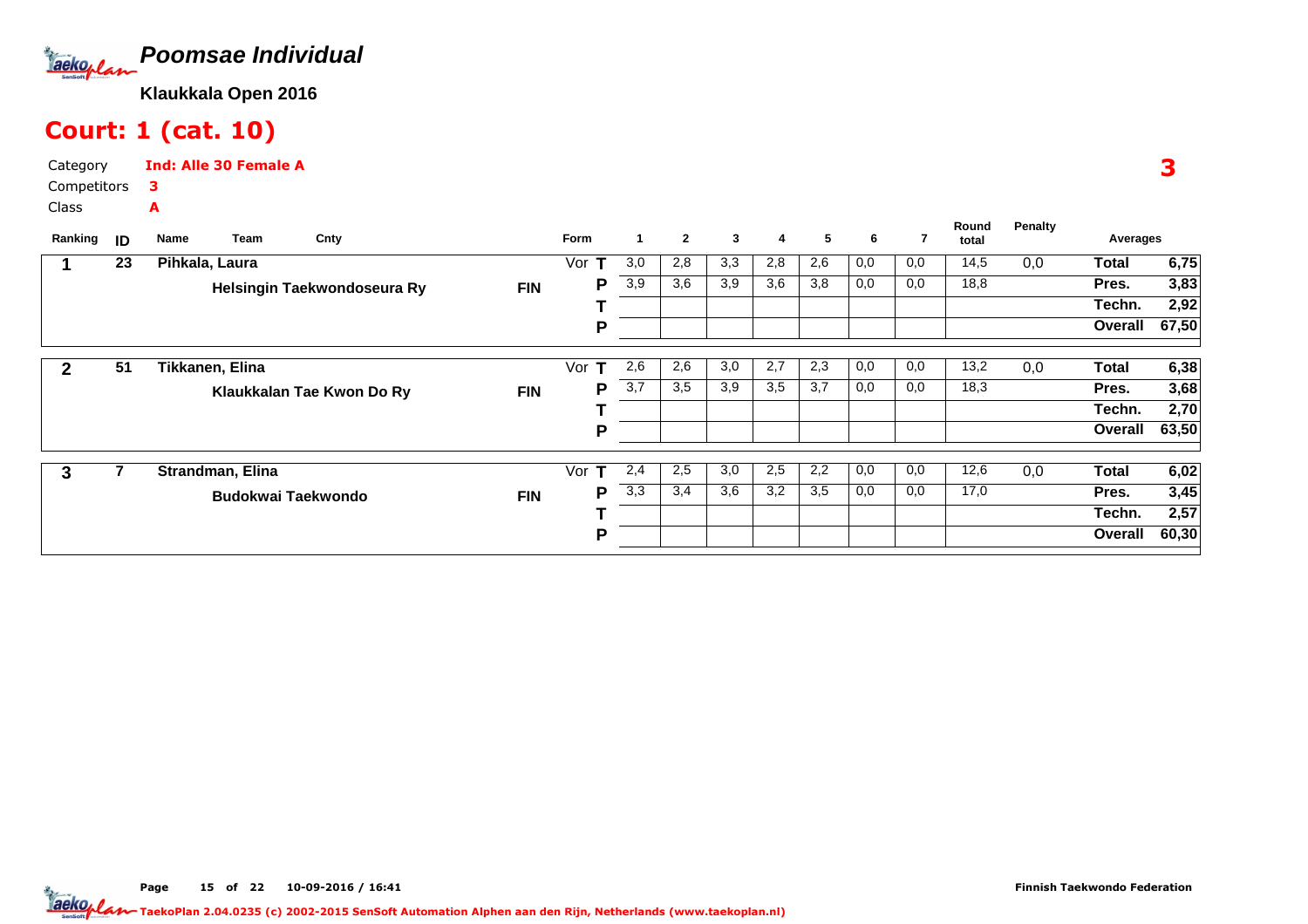

# Court: 1 (cat. 10)

Category CompetitorsInd: Alle 30 Female A3A

Class

| Ranking      | ID | Cnty<br>Team<br>Name        |            | Form          | $\blacktriangleleft$ | $\mathbf{2}$ | 3   | 4   | 5   | 6   | 7   | Round<br>total | <b>Penalty</b> | Averages     |       |
|--------------|----|-----------------------------|------------|---------------|----------------------|--------------|-----|-----|-----|-----|-----|----------------|----------------|--------------|-------|
|              | 23 | Pihkala, Laura              |            | Vor<br>$\top$ | 3,0                  | 2,8          | 3,3 | 2,8 | 2,6 | 0,0 | 0,0 | 14,5           | 0,0            | <b>Total</b> | 6,75  |
|              |    | Helsingin Taekwondoseura Ry | FIN        | P             | 3,9                  | 3,6          | 3,9 | 3,6 | 3,8 | 0,0 | 0,0 | 18,8           |                | Pres.        | 3,83  |
|              |    |                             |            |               |                      |              |     |     |     |     |     |                |                | Techn.       | 2,92  |
|              |    |                             |            | P             |                      |              |     |     |     |     |     |                |                | Overall      | 67,50 |
|              |    |                             |            |               |                      |              |     |     |     |     |     |                |                |              |       |
| $\mathbf{2}$ | 51 | Tikkanen, Elina             |            | Vor<br>т      | 2,6                  | 2,6          | 3,0 | 2,7 | 2,3 | 0,0 | 0,0 | 13,2           | 0,0            | <b>Total</b> | 6,38  |
|              |    | Klaukkalan Tae Kwon Do Ry   | <b>FIN</b> | P             | 3,7                  | 3,5          | 3,9 | 3,5 | 3,7 | 0,0 | 0,0 | 18,3           |                | Pres.        | 3,68  |
|              |    |                             |            |               |                      |              |     |     |     |     |     |                |                | Techn.       | 2,70  |
|              |    |                             |            | P             |                      |              |     |     |     |     |     |                |                | Overall      | 63,50 |
|              |    |                             |            |               |                      |              |     |     |     |     |     |                |                |              |       |
| 3            |    | Strandman, Elina            |            | Vor $T$       | 2,4                  | 2,5          | 3,0 | 2,5 | 2,2 | 0,0 | 0,0 | 12,6           | 0,0            | <b>Total</b> | 6,02  |
|              |    | <b>Budokwai Taekwondo</b>   | <b>FIN</b> | P             | 3,3                  | 3,4          | 3,6 | 3,2 | 3,5 | 0,0 | 0,0 | 17,0           |                | Pres.        | 3,45  |
|              |    |                             |            |               |                      |              |     |     |     |     |     |                |                | Techn.       | 2,57  |
|              |    |                             |            | P             |                      |              |     |     |     |     |     |                |                | Overall      | 60,30 |

3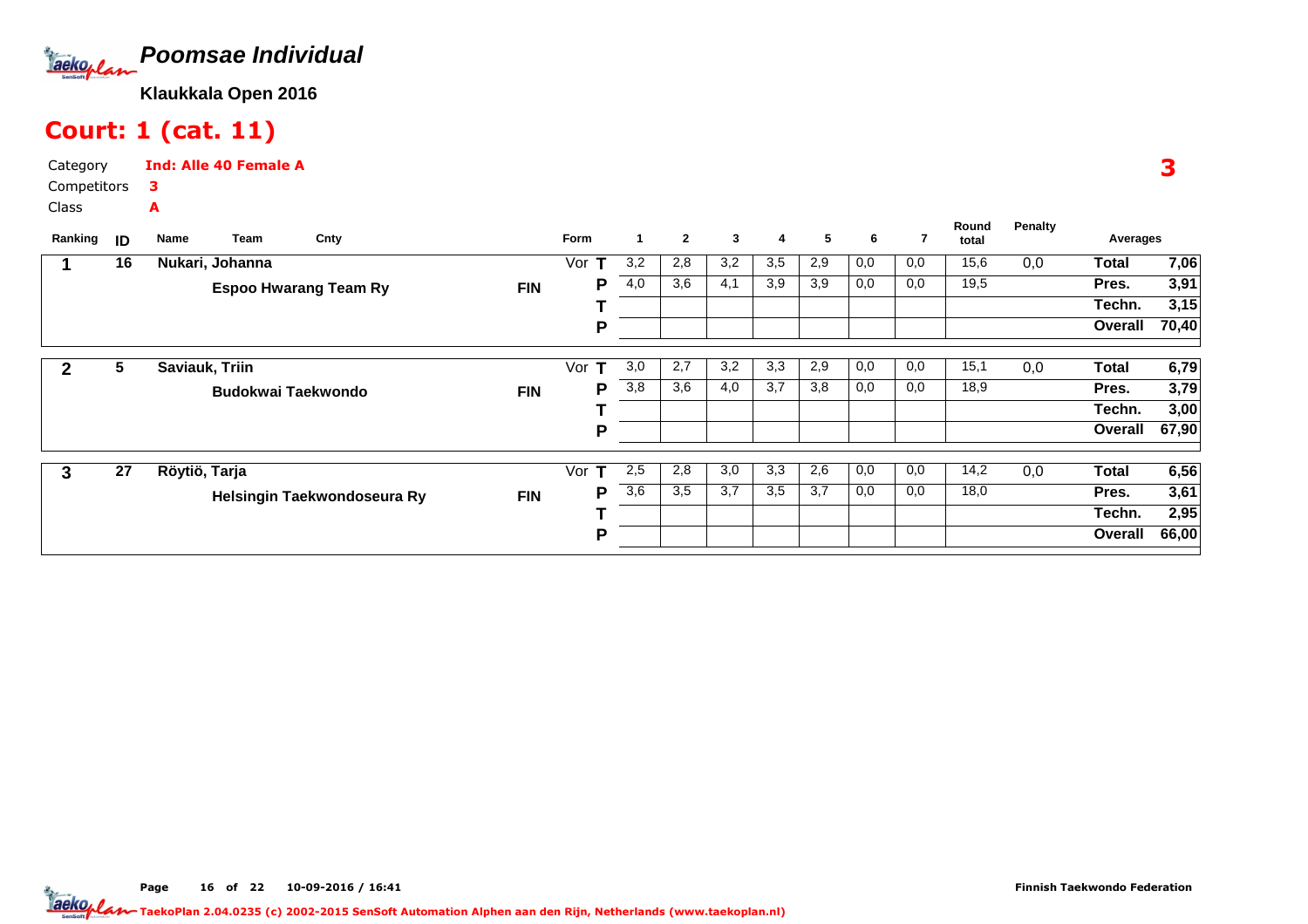

# Court: 1 (cat. 11)

Category CompetitorsInd: Alle 40 Female A3A

Class

| Ranking | ID | Cnty<br>Team<br>Name         |            | Form     | $\mathbf 1$ | $\mathbf{2}$ | 3   | 4   | 5   | 6   | 7   | Round<br>total | <b>Penalty</b> | Averages     |       |
|---------|----|------------------------------|------------|----------|-------------|--------------|-----|-----|-----|-----|-----|----------------|----------------|--------------|-------|
|         | 16 | Nukari, Johanna              |            | Vor<br>т | 3,2         | 2,8          | 3,2 | 3,5 | 2,9 | 0,0 | 0,0 | 15,6           | 0,0            | <b>Total</b> | 7,06  |
|         |    | <b>Espoo Hwarang Team Ry</b> | <b>FIN</b> | Р        | 4,0         | 3,6          | 4,1 | 3,9 | 3,9 | 0,0 | 0,0 | 19,5           |                | Pres.        | 3,91  |
|         |    |                              |            |          |             |              |     |     |     |     |     |                |                | Techn.       | 3,15  |
|         |    |                              |            | P        |             |              |     |     |     |     |     |                |                | Overall      | 70,40 |
|         | 5  | Saviauk, Triin               |            | Vor<br>т | 3,0         | 2,7          | 3,2 | 3,3 | 2,9 | 0,0 | 0,0 | 15,1           | 0,0            | <b>Total</b> | 6,79  |
|         |    | Budokwai Taekwondo           | <b>FIN</b> | P        | 3,8         | 3,6          | 4,0 | 3,7 | 3,8 | 0,0 | 0,0 | 18,9           |                | Pres.        | 3,79  |
|         |    |                              |            |          |             |              |     |     |     |     |     |                |                | Techn.       | 3,00  |
|         |    |                              |            | Р        |             |              |     |     |     |     |     |                |                | Overall      | 67,90 |
|         |    |                              |            |          |             |              |     |     |     |     |     |                |                |              |       |
| 3       | 27 | Röytiö, Tarja                |            | Vor<br>т | 2,5         | 2,8          | 3,0 | 3,3 | 2,6 | 0,0 | 0,0 | 14,2           | 0,0            | <b>Total</b> | 6,56  |
|         |    | Helsingin Taekwondoseura Ry  | <b>FIN</b> | Р        | 3,6         | 3,5          | 3,7 | 3,5 | 3,7 | 0,0 | 0,0 | 18,0           |                | Pres.        | 3,61  |
|         |    |                              |            |          |             |              |     |     |     |     |     |                |                | Techn.       | 2,95  |
|         |    |                              |            | P        |             |              |     |     |     |     |     |                |                | Overall      | 66,00 |

3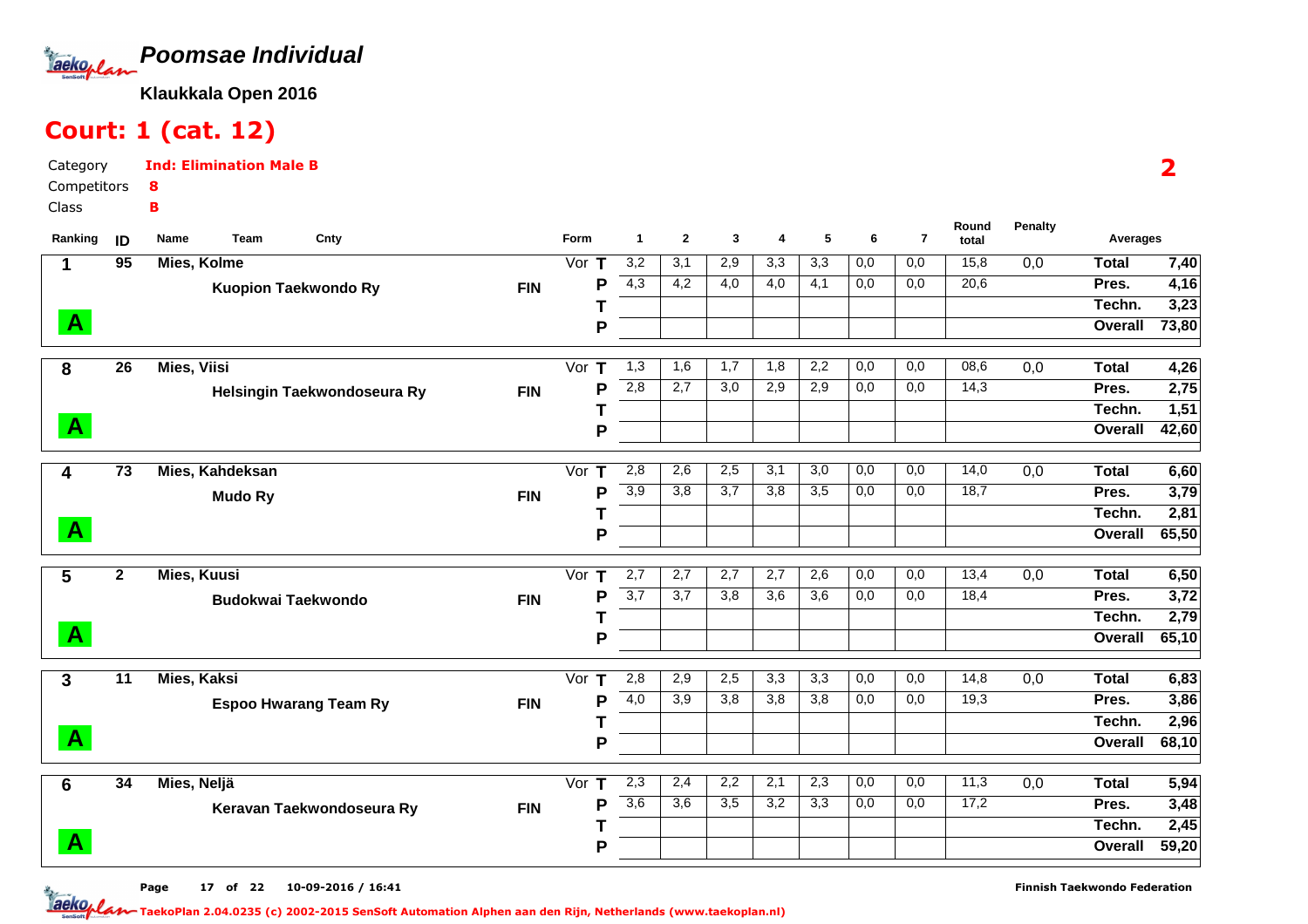

# Court: 1 (cat. 12)

Category CompetitorsClassInd: Elimination Male B8B

| Ranking      | ID              | Team<br>Cnty<br>Name         |            | <b>Form</b>               | $\mathbf{1}$     | $\mathbf{2}$ | 3                | 4                | 5                | 6   | $\overline{7}$ | Round<br>total | <b>Penalty</b>   | <b>Averages</b> |       |
|--------------|-----------------|------------------------------|------------|---------------------------|------------------|--------------|------------------|------------------|------------------|-----|----------------|----------------|------------------|-----------------|-------|
| 1            | 95              | Mies, Kolme                  |            | $\overline{\text{Vor}}$ T | 3,2              | 3,1          | 2,9              | 3,3              | 3,3              | 0,0 | 0,0            | 15,8           | 0,0              | <b>Total</b>    | 7,40  |
|              |                 | <b>Kuopion Taekwondo Ry</b>  | <b>FIN</b> | P                         | 4,3              | 4,2          | 4,0              | 4,0              | 4,1              | 0,0 | 0,0            | 20,6           |                  | Pres.           | 4,16  |
|              |                 |                              |            |                           |                  |              |                  |                  |                  |     |                |                |                  | Techn.          | 3,23  |
| $\mathbf{A}$ |                 |                              |            | P                         |                  |              |                  |                  |                  |     |                |                |                  | Overall         | 73,80 |
| 8            | 26              | <b>Mies, Viisi</b>           |            | Vor $T$                   | 1,3              | 1,6          | 1,7              | 1,8              | 2,2              | 0,0 | 0,0            | 08,6           | $\overline{0,0}$ | <b>Total</b>    | 4,26  |
|              |                 | Helsingin Taekwondoseura Ry  | <b>FIN</b> | P                         | 2,8              | 2,7          | 3,0              | 2,9              | 2,9              | 0,0 | 0,0            | 14,3           |                  | Pres.           | 2,75  |
|              |                 |                              |            |                           |                  |              |                  |                  |                  |     |                |                |                  | Techn.          | 1,51  |
| $\mathbf{A}$ |                 |                              |            | P                         |                  |              |                  |                  |                  |     |                |                |                  | Overall         | 42,60 |
|              |                 |                              |            |                           |                  |              |                  |                  |                  |     |                |                |                  |                 |       |
| 4            | $\overline{73}$ | Mies, Kahdeksan              |            | $\overline{\text{Vor}}$ T | 2,8              | 2,6          | 2,5              | 3,1              | $\overline{3,0}$ | 0,0 | 0,0            | 14,0           | $\overline{0,0}$ | <b>Total</b>    | 6,60  |
|              |                 | <b>Mudo Ry</b>               | <b>FIN</b> | P                         | 3,9              | 3,8          | 3,7              | 3,8              | 3,5              | 0,0 | 0,0            | 18,7           |                  | Pres.           | 3,79  |
|              |                 |                              |            |                           |                  |              |                  |                  |                  |     |                |                |                  | Techn.          | 2,81  |
| $\mathbf{A}$ |                 |                              |            | P                         |                  |              |                  |                  |                  |     |                |                |                  | Overall         | 65,50 |
| 5            | $\mathbf{2}$    | Mies, Kuusi                  |            | Vor $T$                   | 2,7              | 2,7          | 2,7              | 2,7              | 2,6              | 0,0 | 0,0            | 13,4           | 0,0              | <b>Total</b>    | 6,50  |
|              |                 | <b>Budokwai Taekwondo</b>    | <b>FIN</b> | P                         | $\overline{3,7}$ | 3,7          | 3,8              | $\overline{3,6}$ | $\overline{3,6}$ | 0,0 | 0,0            | 18,4           |                  | Pres.           | 3,72  |
|              |                 |                              |            |                           |                  |              |                  |                  |                  |     |                |                |                  | Techn.          | 2,79  |
| $\mathbf{A}$ |                 |                              |            | P                         |                  |              |                  |                  |                  |     |                |                |                  | Overall         | 65,10 |
| $\mathbf{3}$ | $\overline{11}$ | <b>Mies, Kaksi</b>           |            | Vor $T$                   | 2,8              | 2,9          | 2,5              | $\overline{3,3}$ | $\overline{3,3}$ | 0,0 | 0,0            | 14,8           | 0,0              | <b>Total</b>    | 6,83  |
|              |                 | <b>Espoo Hwarang Team Ry</b> | <b>FIN</b> | P                         | 4,0              | 3,9          | 3,8              | $\overline{3,8}$ | 3,8              | 0,0 | 0,0            | 19,3           |                  | Pres.           | 3,86  |
|              |                 |                              |            |                           |                  |              |                  |                  |                  |     |                |                |                  | Techn.          | 2,96  |
| $\mathbf{A}$ |                 |                              |            | P                         |                  |              |                  |                  |                  |     |                |                |                  | Overall         | 68,10 |
|              | $\overline{34}$ | Mies, Neljä                  |            | Vor $T$                   | 2,3              | 2,4          | 2,2              | 2,1              | 2,3              | 0,0 | 0,0            | 11,3           | 0,0              | <b>Total</b>    | 5,94  |
| 6            |                 |                              |            | P                         | $\overline{3,6}$ | 3,6          | $\overline{3,5}$ | 3,2              | 3,3              | 0,0 | 0,0            | 17,2           |                  | Pres.           | 3,48  |
|              |                 | Keravan Taekwondoseura Ry    | <b>FIN</b> |                           |                  |              |                  |                  |                  |     |                |                |                  | Techn.          | 2,45  |
| $\mathbf{A}$ |                 |                              |            | P                         |                  |              |                  |                  |                  |     |                |                |                  | Overall         | 59,20 |
|              |                 |                              |            |                           |                  |              |                  |                  |                  |     |                |                |                  |                 |       |

Page 17 of 22 10-09-2016 / 16:41 <sup>17</sup>

2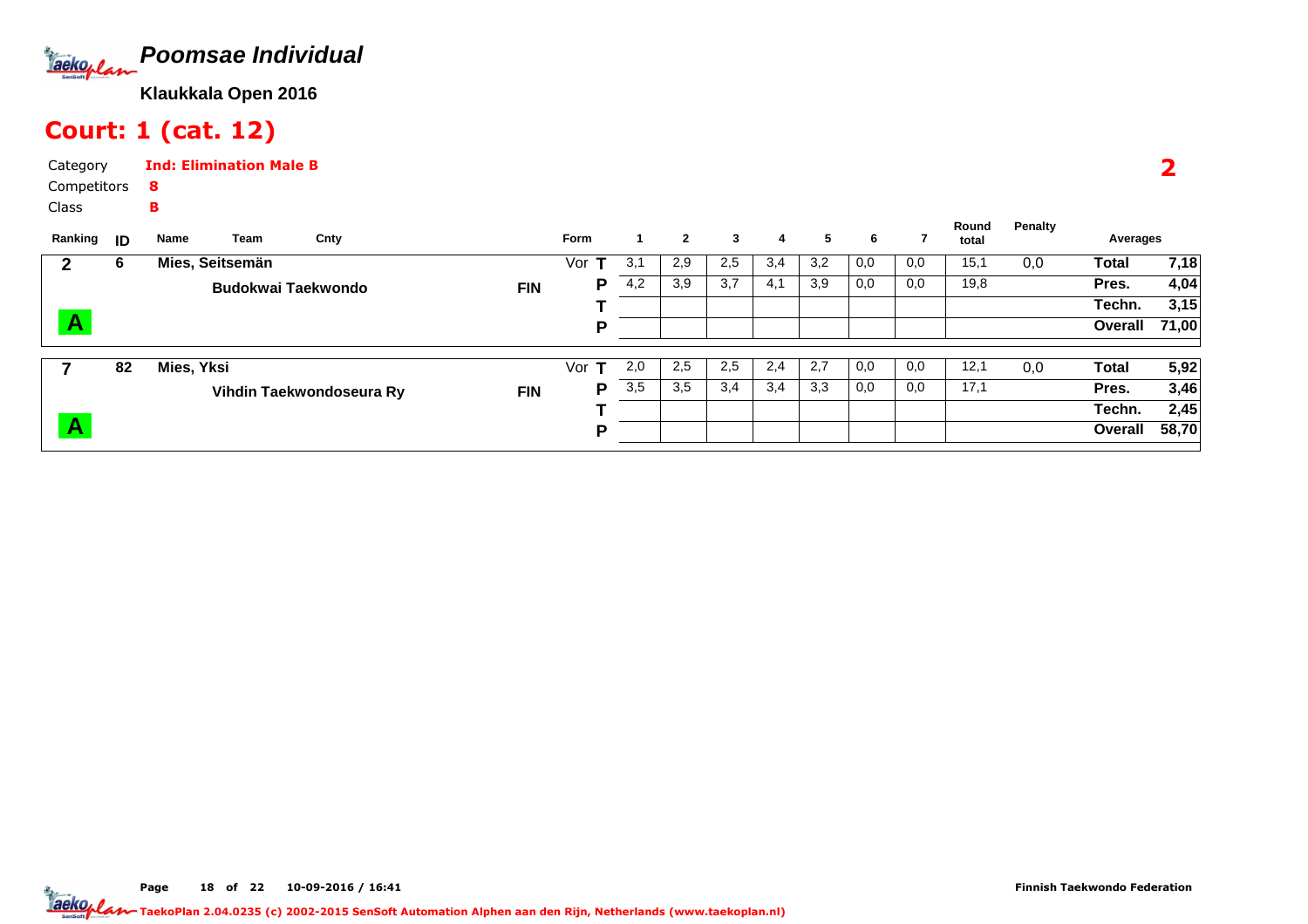

# Court: 1 (cat. 12)

Class

Category CompetitorsInd: Elimination Male B8B

| Ranking      | ID | Team<br>Name              | Cnty                     |            | <b>Form</b>         |     | $\mathbf{2}$ | 3                | 4   | 5   | 6   |     | Round<br>total | Penalty | Averages |       |
|--------------|----|---------------------------|--------------------------|------------|---------------------|-----|--------------|------------------|-----|-----|-----|-----|----------------|---------|----------|-------|
|              | 6  | Mies, Seitsemän           |                          |            | Vor                 | 3,1 | 2,9          | 2,5              | 3,4 | 3,2 | 0,0 | 0,0 | 15,1           | 0,0     | Total    | 7,18  |
|              |    | <b>Budokwai Taekwondo</b> |                          | <b>FIN</b> | P                   | 4,2 | 3,9          | $\overline{3,7}$ | 4,1 | 3,9 | 0,0 | 0,0 | 19,8           |         | Pres.    | 4,04  |
|              |    |                           |                          |            |                     |     |              |                  |     |     |     |     |                |         | Techn.   | 3,15  |
| $\mathbf{A}$ |    |                           |                          |            | D                   |     |              |                  |     |     |     |     |                |         | Overall  | 71,00 |
|              |    |                           |                          |            |                     |     |              |                  |     |     |     |     |                |         |          |       |
|              | 82 | Mies, Yksi                |                          |            | Vor<br>$\mathbf{T}$ | 2,0 | 2,5          | 2,5              | 2,4 | 2,7 | 0,0 | 0,0 | 12,1           | 0,0     | Total    | 5,92  |
|              |    |                           | Vihdin Taekwondoseura Ry | <b>FIN</b> | P                   | 3,5 | 3,5          | 3,4              | 3,4 | 3,3 | 0,0 | 0,0 | 17,1           |         | Pres.    | 3,46  |
|              |    |                           |                          |            |                     |     |              |                  |     |     |     |     |                |         | Techn.   | 2,45  |
| $\mathbf{A}$ |    |                           |                          |            | D                   |     |              |                  |     |     |     |     |                |         | Overall  | 58,70 |

2

Page 18 of 22 10-09-2016 / 16:41 18 of 22 10-09-2016 / 16:4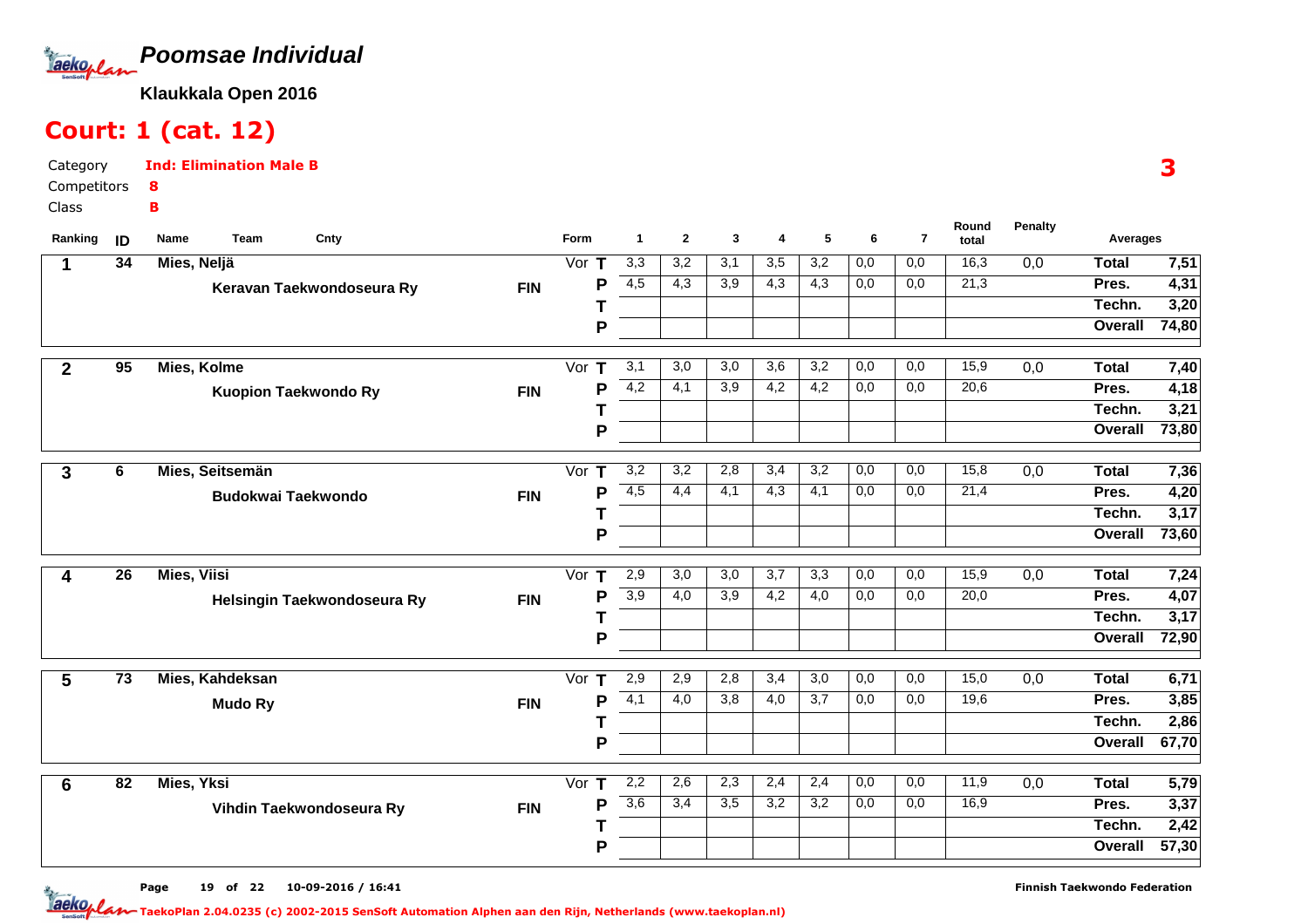

# Court: 1 (cat. 12)

Category CompetitorsClassInd: Elimination Male B8B

| Ranking         | ID              | Team<br>Cnty<br>Name        |            | Form                        | $\mathbf 1$      | $\mathbf{2}$     | 3                | 4                | 5                | 6                | $\overline{7}$   | Round<br>total | <b>Penalty</b>   | Averages     |                   |
|-----------------|-----------------|-----------------------------|------------|-----------------------------|------------------|------------------|------------------|------------------|------------------|------------------|------------------|----------------|------------------|--------------|-------------------|
| 1               | 34              | Mies, Neljä                 |            | Vor $T$                     | 3,3              | 3,2              | 3,1              | 3,5              | 3,2              | 0,0              | 0,0              | 16,3           | $\overline{0,0}$ | <b>Total</b> | 7,51              |
|                 |                 | Keravan Taekwondoseura Ry   | <b>FIN</b> | P                           | 4,5              | 4,3              | 3,9              | 4,3              | 4,3              | 0,0              | 0,0              | 21,3           |                  | Pres.        | 4,31              |
|                 |                 |                             |            |                             |                  |                  |                  |                  |                  |                  |                  |                |                  | Techn.       | 3,20              |
|                 |                 |                             |            | P                           |                  |                  |                  |                  |                  |                  |                  |                |                  | Overall      | 74,80             |
| $\mathbf{2}$    | $\overline{95}$ | Mies, Kolme                 |            | Vor T                       | 3,1              | $\overline{3,0}$ | $\overline{3,0}$ | $\overline{3,6}$ | $\overline{3,2}$ | 0,0              | 0,0              | 15,9           | 0,0              | <b>Total</b> | 7,40              |
|                 |                 | <b>Kuopion Taekwondo Ry</b> | <b>FIN</b> | P                           | 4,2              | 4,1              | 3,9              | 4,2              | 4,2              | 0,0              | 0,0              | 20,6           |                  | Pres.        | 4,18              |
|                 |                 |                             |            |                             |                  |                  |                  |                  |                  |                  |                  |                |                  | Techn.       | 3,21              |
|                 |                 |                             |            | P                           |                  |                  |                  |                  |                  |                  |                  |                |                  | Overall      | 73,80             |
|                 | 6               | Mies, Seitsemän             |            | Vor $T$                     | 3,2              | 3,2              | 2,8              | 3,4              | 3,2              | $\overline{0,0}$ | $\overline{0,0}$ | 15,8           | $\overline{0,0}$ | <b>Total</b> | 7,36              |
| 3               |                 |                             |            | P                           | 4,5              | 4,4              | 4,1              | $\overline{4,3}$ | 4,1              | 0,0              | 0,0              | 21,4           |                  | Pres.        | 4,20              |
|                 |                 | <b>Budokwai Taekwondo</b>   | <b>FIN</b> |                             |                  |                  |                  |                  |                  |                  |                  |                |                  | Techn.       | $\overline{3,17}$ |
|                 |                 |                             |            | P                           |                  |                  |                  |                  |                  |                  |                  |                |                  | Overall      | 73,60             |
|                 |                 |                             |            |                             |                  |                  |                  |                  |                  |                  |                  |                |                  |              |                   |
| 4               | 26              | <b>Mies, Viisi</b>          |            | Vor $\overline{\mathsf{T}}$ | 2,9              | 3,0              | $\overline{3,0}$ | 3,7              | 3,3              | 0,0              | 0,0              | 15,9           | 0,0              | <b>Total</b> | 7,24              |
|                 |                 | Helsingin Taekwondoseura Ry | <b>FIN</b> | P                           | 3,9              | 4,0              | $\overline{3,9}$ | 4,2              | $\overline{4,0}$ | 0,0              | 0,0              | 20,0           |                  | Pres.        | 4,07              |
|                 |                 |                             |            |                             |                  |                  |                  |                  |                  |                  |                  |                |                  | Techn.       | 3,17              |
|                 |                 |                             |            | P                           |                  |                  |                  |                  |                  |                  |                  |                |                  | Overall      | 72,90             |
| 5               | $\overline{73}$ | Mies, Kahdeksan             |            | Vor $T$                     | 2,9              | 2,9              | 2,8              | 3,4              | 3,0              | 0,0              | 0,0              | 15,0           | 0,0              | <b>Total</b> | 6,71              |
|                 |                 | <b>Mudo Ry</b>              | <b>FIN</b> | P                           | 4,1              | 4,0              | 3,8              | 4,0              | 3,7              | 0,0              | 0,0              | 19,6           |                  | Pres.        | 3,85              |
|                 |                 |                             |            |                             |                  |                  |                  |                  |                  |                  |                  |                |                  | Techn.       | $\overline{2,86}$ |
|                 |                 |                             |            | P                           |                  |                  |                  |                  |                  |                  |                  |                |                  | Overall      | 67,70             |
| $6\phantom{1}6$ | $\overline{82}$ | <b>Mies, Yksi</b>           |            | Vor $T$                     | 2,2              | 2,6              | 2,3              | 2,4              | 2,4              | 0,0              | $\overline{0,0}$ | 11,9           | $\overline{0,0}$ | <b>Total</b> | 5,79              |
|                 |                 | Vihdin Taekwondoseura Ry    | <b>FIN</b> | P                           | $\overline{3,6}$ | 3,4              | $\overline{3,5}$ | 3,2              | $\overline{3,2}$ | 0,0              | 0,0              | 16,9           |                  | Pres.        | 3,37              |
|                 |                 |                             |            |                             |                  |                  |                  |                  |                  |                  |                  |                |                  | Techn.       | $\overline{2,42}$ |
|                 |                 |                             |            | P                           |                  |                  |                  |                  |                  |                  |                  |                |                  | Overall      | 57,30             |
|                 |                 |                             |            |                             |                  |                  |                  |                  |                  |                  |                  |                |                  |              |                   |

3

Page 19 of 22 10-09-2016 / 16:41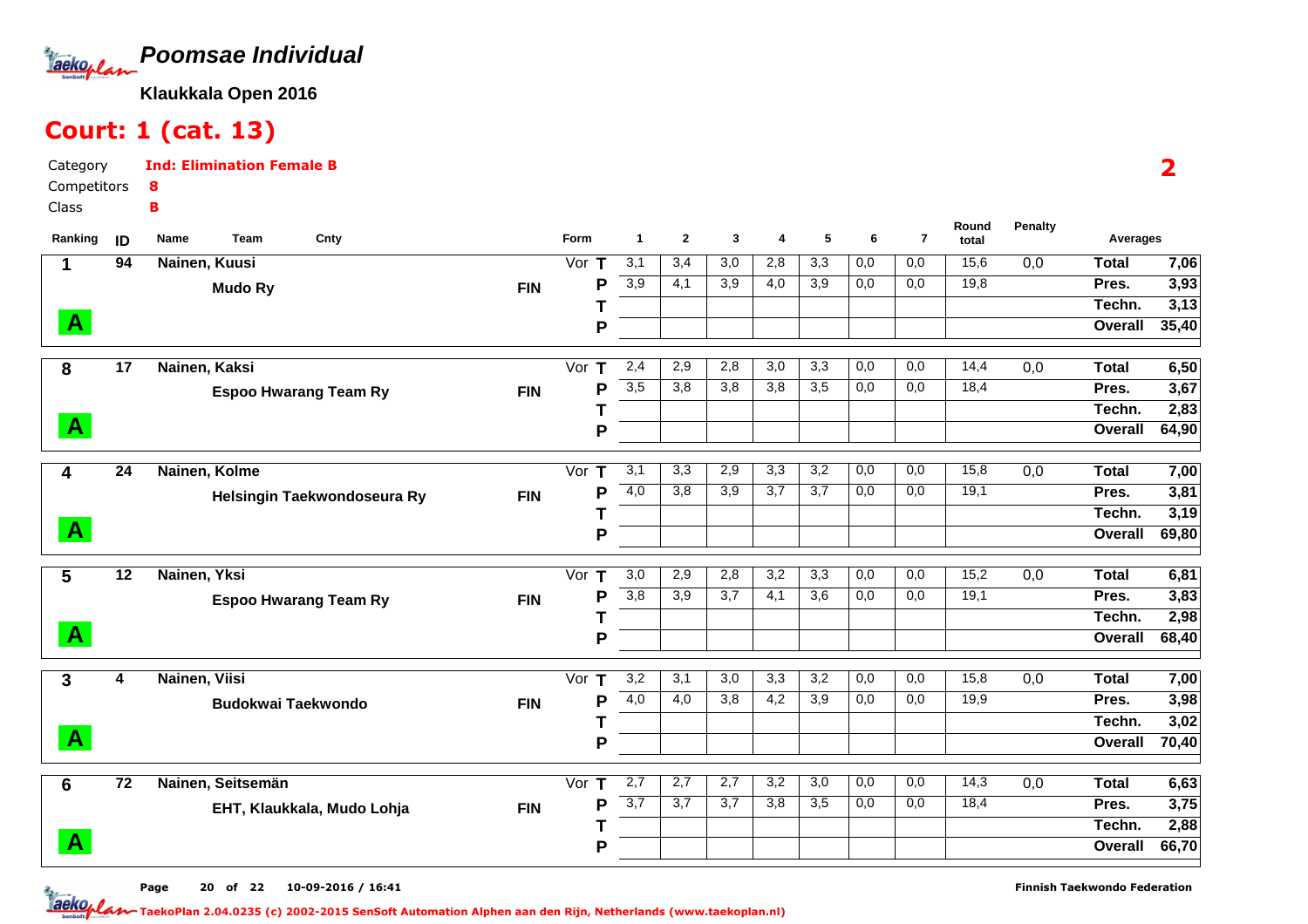

# Court: 1 (cat. 13)

Category CompetitorsClassInd: Elimination Female B8B

| Ranking      | ID              | Team<br>Cnty<br>Name         |            | <b>Form</b>  | 1                | $\mathbf{2}$     | 3                | 4                       | 5                | 6          | $\overline{7}$ | Round<br>total | <b>Penalty</b>   | Averages              |              |
|--------------|-----------------|------------------------------|------------|--------------|------------------|------------------|------------------|-------------------------|------------------|------------|----------------|----------------|------------------|-----------------------|--------------|
| 1            | 94              | Nainen, Kuusi                |            | Vor $T$      | 3,1              | 3,4              | $\overline{3,0}$ | 2,8                     | $\overline{3,3}$ | 0,0        | 0,0            | 15,6           | 0,0              | <b>Total</b>          | 7,06         |
|              |                 | <b>Mudo Ry</b>               | <b>FIN</b> | P            | $\overline{3,9}$ | 4,1              | 3,9              | 4,0                     | 3,9              | 0,0        | 0,0            | 19,8           |                  | Pres.                 | 3,93         |
|              |                 |                              |            |              |                  |                  |                  |                         |                  |            |                |                |                  | Techn.                | 3,13         |
| $\mathbf{A}$ |                 |                              |            | P            |                  |                  |                  |                         |                  |            |                |                |                  | Overall               | 35,40        |
|              |                 |                              |            |              |                  |                  |                  |                         |                  |            |                |                |                  |                       |              |
| 8            | 17              | Nainen, Kaksi                |            | Vor<br>т     | 2,4              | 2,9              | 2,8              | $\overline{3,0}$        | 3,3              | 0,0        | 0,0            | 14,4           | $\overline{0,0}$ | <b>Total</b>          | 6,50         |
|              |                 | <b>Espoo Hwarang Team Ry</b> | <b>FIN</b> | P            | 3,5              | 3,8              | 3,8              | 3,8                     | 3,5              | 0,0        | 0,0            | 18,4           |                  | Pres.                 | 3,67         |
|              |                 |                              |            |              |                  |                  |                  |                         |                  |            |                |                |                  | Techn.                | 2,83         |
| $\mathbf{A}$ |                 |                              |            | P            |                  |                  |                  |                         |                  |            |                |                |                  | Overall               | 64,90        |
|              | $\overline{24}$ |                              |            |              |                  | 3,3              |                  |                         |                  |            |                | 15,8           |                  |                       |              |
| 4            |                 | Nainen, Kolme                |            | Vor $T$<br>P | 3,1<br>4,0       | 3,8              | 2,9<br>3,9       | $\overline{3,3}$<br>3,7 | 3,2<br>3,7       | 0,0<br>0,0 | 0,0<br>0,0     | 19,1           | $\overline{0,0}$ | <b>Total</b><br>Pres. | 7,00<br>3,81 |
|              |                 | Helsingin Taekwondoseura Ry  | <b>FIN</b> |              |                  |                  |                  |                         |                  |            |                |                |                  | Techn.                | 3,19         |
| $\mathbf{A}$ |                 |                              |            | P            |                  |                  |                  |                         |                  |            |                |                |                  | Overall               | 69,80        |
|              |                 |                              |            |              |                  |                  |                  |                         |                  |            |                |                |                  |                       |              |
| 5            | 12              | Nainen, Yksi                 |            | Vor $T$      | 3,0              | 2,9              | 2,8              | $\overline{3,2}$        | 3,3              | 0,0        | 0,0            | 15,2           | 0,0              | <b>Total</b>          | 6,81         |
|              |                 | <b>Espoo Hwarang Team Ry</b> | <b>FIN</b> | P            | 3,8              | $\overline{3,9}$ | $\overline{3,7}$ | 4,1                     | $\overline{3,6}$ | 0,0        | 0,0            | 19,1           |                  | Pres.                 | 3,83         |
|              |                 |                              |            |              |                  |                  |                  |                         |                  |            |                |                |                  | Techn.                | 2,98         |
| $\mathbf{A}$ |                 |                              |            | P            |                  |                  |                  |                         |                  |            |                |                |                  | Overall               | 68,40        |
|              |                 |                              |            |              |                  |                  |                  |                         |                  |            |                |                |                  |                       |              |
| 3            | 4               | Nainen, Viisi                |            | Vor<br>т     | 3,2              | 3,1              | 3,0              | $\overline{3,3}$        | 3,2              | 0,0        | 0,0            | 15,8           | 0,0              | <b>Total</b>          | 7,00         |
|              |                 | <b>Budokwai Taekwondo</b>    | <b>FIN</b> | P            | 4,0              | 4,0              | 3,8              | 4,2                     | 3,9              | 0,0        | 0,0            | 19,9           |                  | Pres.                 | 3,98         |
|              |                 |                              |            |              |                  |                  |                  |                         |                  |            |                |                |                  | Techn.                | 3,02         |
| $\mathbf{A}$ |                 |                              |            | P            |                  |                  |                  |                         |                  |            |                |                |                  | Overall               | 70,40        |
|              |                 |                              |            |              |                  |                  |                  |                         |                  |            |                |                |                  |                       |              |
| 6            | $\overline{72}$ | Nainen, Seitsemän            |            | Vor $T$      | 2,7              | 2,7              | 2,7              | 3,2                     | 3,0              | 0,0        | 0,0            | 14,3           | 0,0              | <b>Total</b>          | 6,63         |
|              |                 | EHT, Klaukkala, Mudo Lohja   | <b>FIN</b> | P            | 3,7              | 3,7              | 3,7              | 3,8                     | $\overline{3,5}$ | 0,0        | 0,0            | 18,4           |                  | Pres.                 | 3,75         |
|              |                 |                              |            |              |                  |                  |                  |                         |                  |            |                |                |                  | Techn.                | 2,88         |
| $\mathbf{A}$ |                 |                              |            | P            |                  |                  |                  |                         |                  |            |                |                |                  | Overall               | 66,70        |

2

Page 20 of 22 10-09-2016 / 16:41

Finnish Taekwondo Federation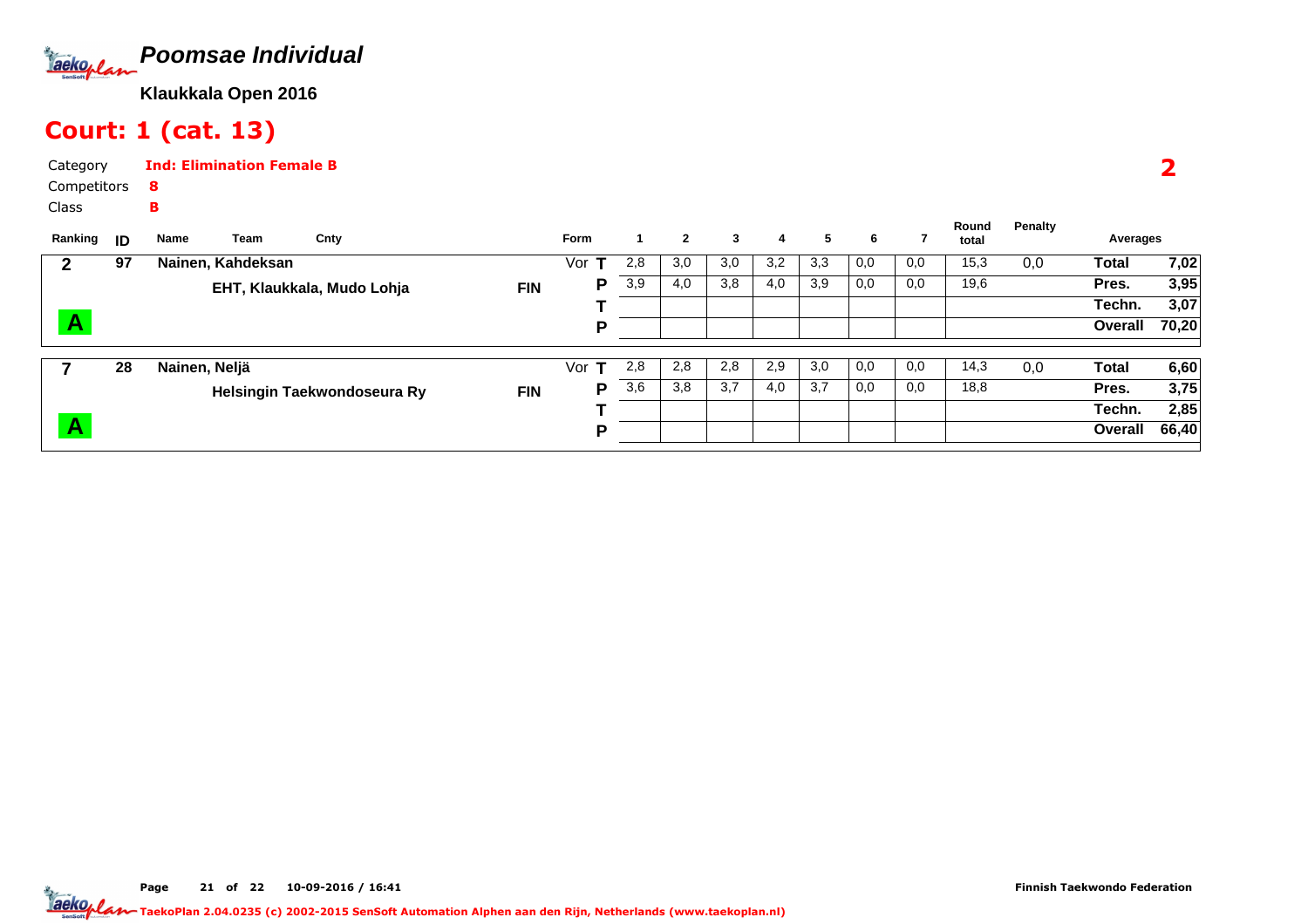

# Court: 1 (cat. 13)

| Category    | <b>Ind: Elimination Female B</b> |
|-------------|----------------------------------|
| Competitors | -8                               |
| Class       | R                                |

| Ranking                 | ID | Name          | Team              | Cnty                        |            | <b>Form</b> |     | $\mathbf{2}$ | 3   | 4   | 5   | 6   |     | Round<br>total | Penalty | Averages |       |
|-------------------------|----|---------------|-------------------|-----------------------------|------------|-------------|-----|--------------|-----|-----|-----|-----|-----|----------------|---------|----------|-------|
|                         | 97 |               | Nainen, Kahdeksan |                             |            | Vor         | 2,8 | 3,0          | 3,0 | 3,2 | 3,3 | 0,0 | 0,0 | 15,3           | 0,0     | Total    | 7,02  |
|                         |    |               |                   | EHT, Klaukkala, Mudo Lohja  | <b>FIN</b> | P           | 3,9 | 4,0          | 3,8 | 4,0 | 3,9 | 0,0 | 0,0 | 19,6           |         | Pres.    | 3,95  |
|                         |    |               |                   |                             |            |             |     |              |     |     |     |     |     |                |         | Techn.   | 3,07  |
| $\overline{\mathsf{A}}$ |    |               |                   |                             |            | D           |     |              |     |     |     |     |     |                |         | Overall  | 70,20 |
|                         | 28 | Nainen, Neljä |                   |                             |            | Vor         | 2,8 | 2,8          | 2,8 | 2,9 | 3,0 | 0,0 | 0,0 | 14,3           | 0,0     | Total    | 6,60  |
|                         |    |               |                   | Helsingin Taekwondoseura Ry | <b>FIN</b> | P           | 3,6 | 3,8          | 3,7 | 4,0 | 3,7 | 0,0 | 0,0 | 18,8           |         | Pres.    | 3,75  |
|                         |    |               |                   |                             |            |             |     |              |     |     |     |     |     |                |         | Techn.   | 2,85  |
| $\overline{\mathsf{A}}$ |    |               |                   |                             |            | D           |     |              |     |     |     |     |     |                |         | Overall  | 66,40 |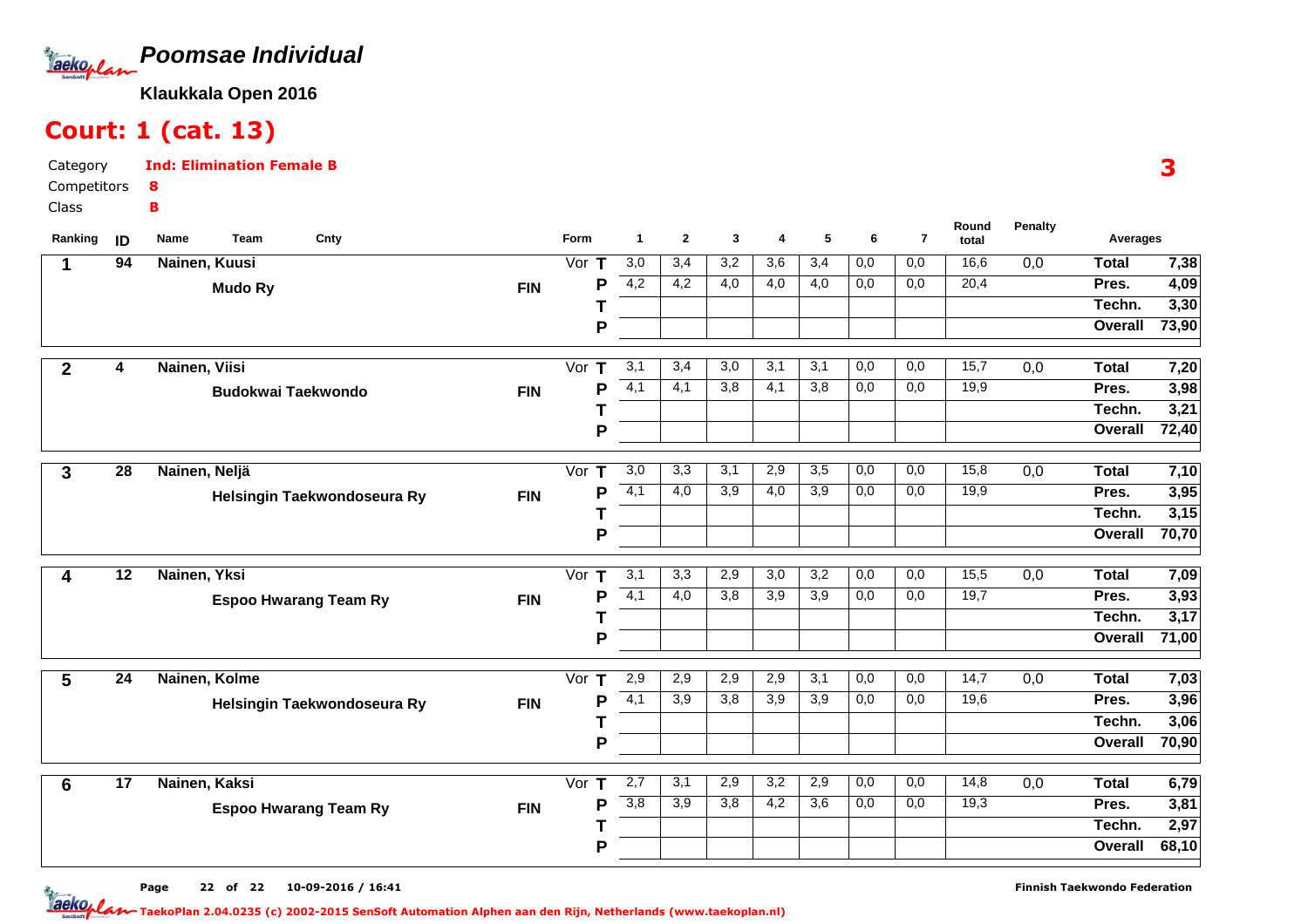

# Court: 1 (cat. 13)

B

Category CompetitorsInd: Elimination Female B8

Class

| Ranking        | ID              | Name<br>Team   | Cnty                         |            | Form                        | $\mathbf{1}$          | $\mathbf{2}$     | 3                | 4                | 5                | 6                | $\overline{7}$ | Round<br>total | Penalty          | Averages     |       |
|----------------|-----------------|----------------|------------------------------|------------|-----------------------------|-----------------------|------------------|------------------|------------------|------------------|------------------|----------------|----------------|------------------|--------------|-------|
|                | 94              | Nainen, Kuusi  |                              |            | Vor $T$                     | 3,0                   | 3,4              | $\overline{3,2}$ | 3,6              | 3,4              | 0,0              | 0,0            | 16,6           | $\overline{0,0}$ | Total        | 7,38  |
|                |                 | <b>Mudo Ry</b> |                              | <b>FIN</b> |                             | 4,2<br>Р              | 4,2              | 4,0              | 4,0              | 4,0              | 0,0              | 0,0            | 20,4           |                  | Pres.        | 4,09  |
|                |                 |                |                              |            |                             |                       |                  |                  |                  |                  |                  |                |                |                  | Techn.       | 3,30  |
|                |                 |                |                              |            |                             | P                     |                  |                  |                  |                  |                  |                |                |                  | Overall      | 73,90 |
| $\mathbf{2}$   | 4               | Nainen, Viisi  |                              |            | Vor $\overline{\mathsf{T}}$ | 3,1                   | 3,4              | 3,0              | 3,1              | 3,1              | 0,0              | 0,0            | 15,7           | 0,0              | <b>Total</b> | 7,20  |
|                |                 |                | <b>Budokwai Taekwondo</b>    | <b>FIN</b> |                             | $\overline{4,1}$<br>Ρ | 4,1              | 3,8              | 4,1              | 3,8              | 0,0              | 0,0            | 19,9           |                  | Pres.        | 3,98  |
|                |                 |                |                              |            |                             |                       |                  |                  |                  |                  |                  |                |                |                  | Techn.       | 3,21  |
|                |                 |                |                              |            |                             | P                     |                  |                  |                  |                  |                  |                |                |                  | Overall      | 72,40 |
| 3              | $\overline{28}$ | Nainen, Neljä  |                              |            | Vor $T$                     | $\overline{3,0}$      | 3,3              | 3,1              | 2,9              | 3,5              | 0,0              | 0,0            | 15,8           | $\overline{0,0}$ | <b>Total</b> | 7,10  |
|                |                 |                | Helsingin Taekwondoseura Ry  | <b>FIN</b> |                             | $\overline{4,1}$<br>Р | $\overline{4,0}$ | $\overline{3,9}$ | 4,0              | 3,9              | 0,0              | 0,0            | 19,9           |                  | Pres.        | 3,95  |
|                |                 |                |                              |            | Т                           |                       |                  |                  |                  |                  |                  |                |                |                  | Techn.       | 3,15  |
|                |                 |                |                              |            |                             | P                     |                  |                  |                  |                  |                  |                |                |                  | Overall      | 70,70 |
| 4              | 12              | Nainen, Yksi   |                              |            | Vor T                       | 3,1                   | 3,3              | 2,9              | 3,0              | $\overline{3,2}$ | 0,0              | 0,0            | 15,5           | 0,0              | <b>Total</b> | 7,09  |
|                |                 |                | <b>Espoo Hwarang Team Ry</b> | <b>FIN</b> |                             | 4,1<br>P              | 4,0              | $\overline{3,8}$ | $\overline{3,9}$ | $\overline{3,9}$ | $\overline{0,0}$ | 0,0            | 19,7           |                  | Pres.        | 3,93  |
|                |                 |                |                              |            |                             |                       |                  |                  |                  |                  |                  |                |                |                  | Techn.       | 3,17  |
|                |                 |                |                              |            |                             | P                     |                  |                  |                  |                  |                  |                |                |                  | Overall      | 71,00 |
| 5              | 24              | Nainen, Kolme  |                              |            | Vor $T$                     | 2,9                   | 2,9              | 2,9              | 2,9              | 3,1              | 0,0              | 0,0            | 14,7           | 0,0              | <b>Total</b> | 7,03  |
|                |                 |                | Helsingin Taekwondoseura Ry  | <b>FIN</b> |                             | $\overline{4,1}$<br>Ρ | 3,9              | 3,8              | 3,9              | 3,9              | 0,0              | 0,0            | 19,6           |                  | Pres.        | 3,96  |
|                |                 |                |                              |            |                             |                       |                  |                  |                  |                  |                  |                |                |                  | Techn.       | 3,06  |
|                |                 |                |                              |            |                             | P                     |                  |                  |                  |                  |                  |                |                |                  | Overall      | 70,90 |
| $6\phantom{1}$ | $\overline{17}$ | Nainen, Kaksi  |                              |            | Vor $T$                     | 2,7                   | 3,1              | 2,9              | 3,2              | 2,9              | 0,0              | 0,0            | 14,8           | 0,0              | <b>Total</b> | 6,79  |
|                |                 |                | <b>Espoo Hwarang Team Ry</b> | <b>FIN</b> | P                           | 3,8                   | 3,9              | 3,8              | 4,2              | $\overline{3,6}$ | 0,0              | 0,0            | 19,3           |                  | Pres.        | 3,81  |
|                |                 |                |                              |            |                             |                       |                  |                  |                  |                  |                  |                |                |                  | Techn.       | 2,97  |
|                |                 |                |                              |            |                             | P                     |                  |                  |                  |                  |                  |                |                |                  | Overall      | 68,10 |

Page 22 of 22 10-09-2016 / 16:41 22 of 22 10-09-2016 / 16:4

3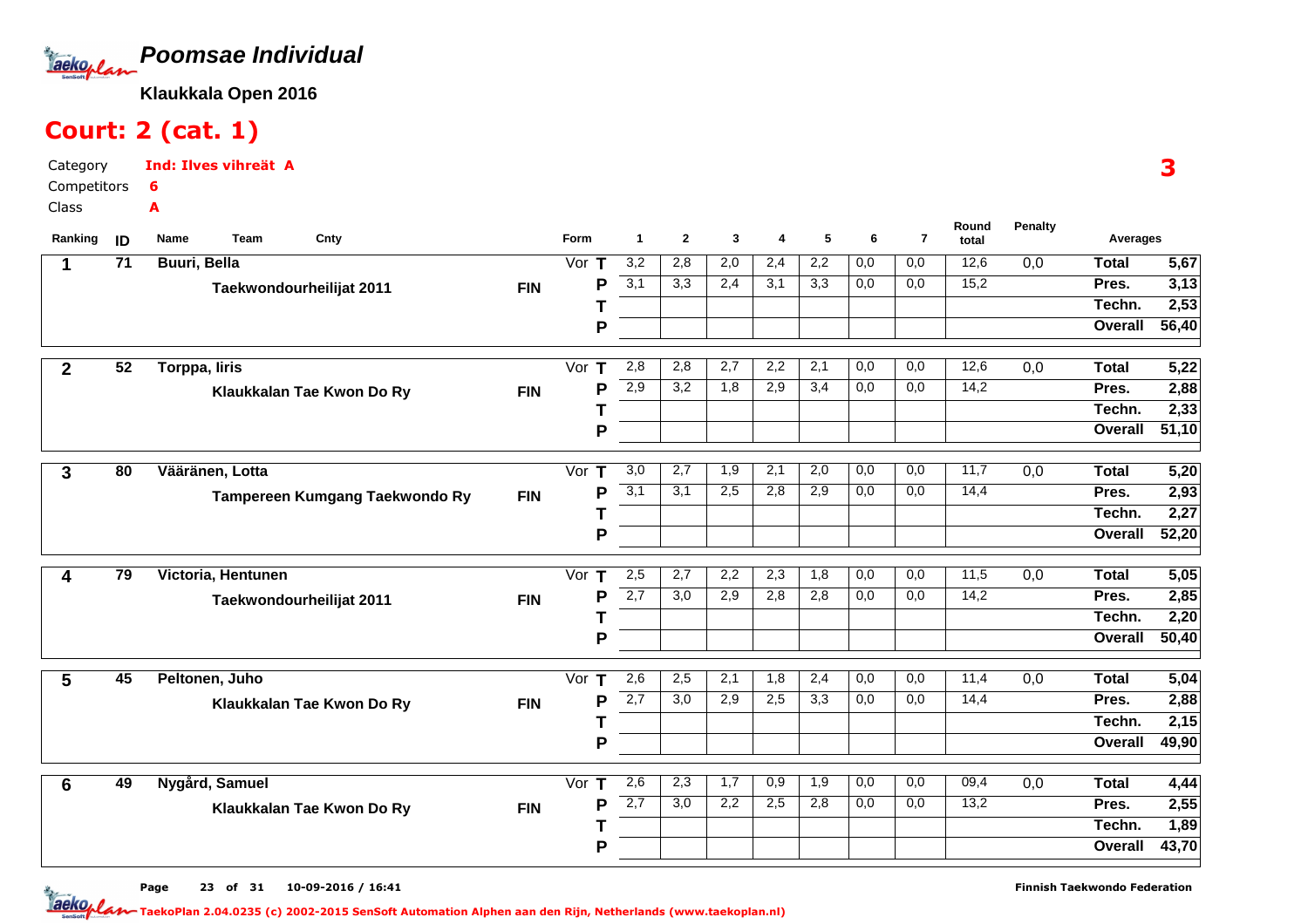

# Court: 2 (cat. 1)

Category CompetitorsClassInd: Ilves vihreät A6A

| Ranking         | ID              | Team<br>Cnty<br>Name           |            | Form               | $\mathbf{1}$ | $\mathbf{2}$ | 3   | 4   | 5   | 6                | $\overline{7}$ | Round<br>total | <b>Penalty</b>   | Averages       |                   |
|-----------------|-----------------|--------------------------------|------------|--------------------|--------------|--------------|-----|-----|-----|------------------|----------------|----------------|------------------|----------------|-------------------|
| 1               | $\overline{71}$ | <b>Buuri</b> , Bella           |            | Vor $T$            | 3,2          | 2,8          | 2,0 | 2,4 | 2,2 | 0,0              | 0,0            | 12,6           | $\overline{0,0}$ | <b>Total</b>   | 5,67              |
|                 |                 | Taekwondourheilijat 2011       | <b>FIN</b> | P                  | 3,1          | 3,3          | 2,4 | 3,1 | 3,3 | 0,0              | 0,0            | 15,2           |                  | Pres.          | 3,13              |
|                 |                 |                                |            |                    |              |              |     |     |     |                  |                |                |                  | Techn.         | 2,53              |
|                 |                 |                                |            | P                  |              |              |     |     |     |                  |                |                |                  | Overall        | 56,40             |
| $\mathbf{2}$    | 52              | Torppa, liris                  |            | Vor T              | 2,8          | 2,8          | 2,7 | 2,2 | 2,1 | 0,0              | 0,0            | 12,6           | $\overline{0,0}$ | <b>Total</b>   | 5,22              |
|                 |                 | Klaukkalan Tae Kwon Do Ry      | <b>FIN</b> | P                  | 2,9          | 3,2          | 1,8 | 2,9 | 3,4 | 0,0              | 0,0            | 14,2           |                  | Pres.          | 2,88              |
|                 |                 |                                |            |                    |              |              |     |     |     |                  |                |                |                  | Techn.         | 2,33              |
|                 |                 |                                |            | P                  |              |              |     |     |     |                  |                |                |                  | Overall        | 51,10             |
|                 | 80              | Vääränen, Lotta                |            | Vor<br>т           | 3,0          | 2,7          | 1,9 | 2,1 | 2,0 | 0,0              | 0,0            | 11,7           | 0,0              | <b>Total</b>   | 5,20              |
| 3               |                 |                                |            | P                  | 3,1          | 3,1          | 2,5 | 2,8 | 2,9 | 0,0              | 0,0            | 14,4           |                  | Pres.          | 2,93              |
|                 |                 | Tampereen Kumgang Taekwondo Ry | <b>FIN</b> |                    |              |              |     |     |     |                  |                |                |                  | Techn.         | 2,27              |
|                 |                 |                                |            | P                  |              |              |     |     |     |                  |                |                |                  | Overall        | 52,20             |
|                 |                 |                                |            |                    |              |              |     |     |     |                  |                |                |                  |                |                   |
| 4               | 79              | Victoria, Hentunen             |            | Vor $T$            | 2,5          | 2,7          | 2,2 | 2,3 | 1,8 | 0,0              | 0,0            | 11,5           | 0,0              | <b>Total</b>   | 5,05              |
|                 |                 | Taekwondourheilijat 2011       | <b>FIN</b> | P                  | 2,7          | 3,0          | 2,9 | 2,8 | 2,8 | 0,0              | 0,0            | 14,2           |                  | Pres.          | 2,85              |
|                 |                 |                                |            |                    |              |              |     |     |     |                  |                |                |                  | Techn.         | 2,20              |
|                 |                 |                                |            | P                  |              |              |     |     |     |                  |                |                |                  | Overall        | 50,40             |
| 5               | 45              | Peltonen, Juho                 |            | Vor $T$            | 2,6          | 2,5          | 2,1 | 1,8 | 2,4 | 0,0              | 0,0            | 11,4           | 0,0              | <b>Total</b>   | 5,04              |
|                 |                 | Klaukkalan Tae Kwon Do Ry      | <b>FIN</b> | P                  | 2,7          | 3,0          | 2,9 | 2,5 | 3,3 | $\overline{0,0}$ | 0,0            | 14,4           |                  | Pres.          | 2,88              |
|                 |                 |                                |            |                    |              |              |     |     |     |                  |                |                |                  | Techn.         | $\overline{2,15}$ |
|                 |                 |                                |            | P                  |              |              |     |     |     |                  |                |                |                  | Overall        | 49,90             |
|                 | 49              | Nygård, Samuel                 |            | $\mathbf T$<br>Vor | 2,6          | 2,3          | 1,7 | 0,9 | 1,9 | 0,0              | 0,0            | 09,4           | $\overline{0,0}$ | <b>Total</b>   | 4,44              |
| $6\phantom{1}6$ |                 |                                |            | P                  | 2,7          | 3,0          | 2,2 | 2,5 | 2,8 | 0,0              | 0,0            | 13,2           |                  | Pres.          | $\overline{2,55}$ |
|                 |                 | Klaukkalan Tae Kwon Do Ry      | <b>FIN</b> |                    |              |              |     |     |     |                  |                |                |                  | Techn.         | 1,89              |
|                 |                 |                                |            | Р                  |              |              |     |     |     |                  |                |                |                  | <b>Overall</b> | 43,70             |
|                 |                 |                                |            |                    |              |              |     |     |     |                  |                |                |                  |                |                   |

3

Page 23 of 31 10-09-2016 / 16:41 23 of 31 10-09-2016 / 16:4

Finnish Taekwondo Federation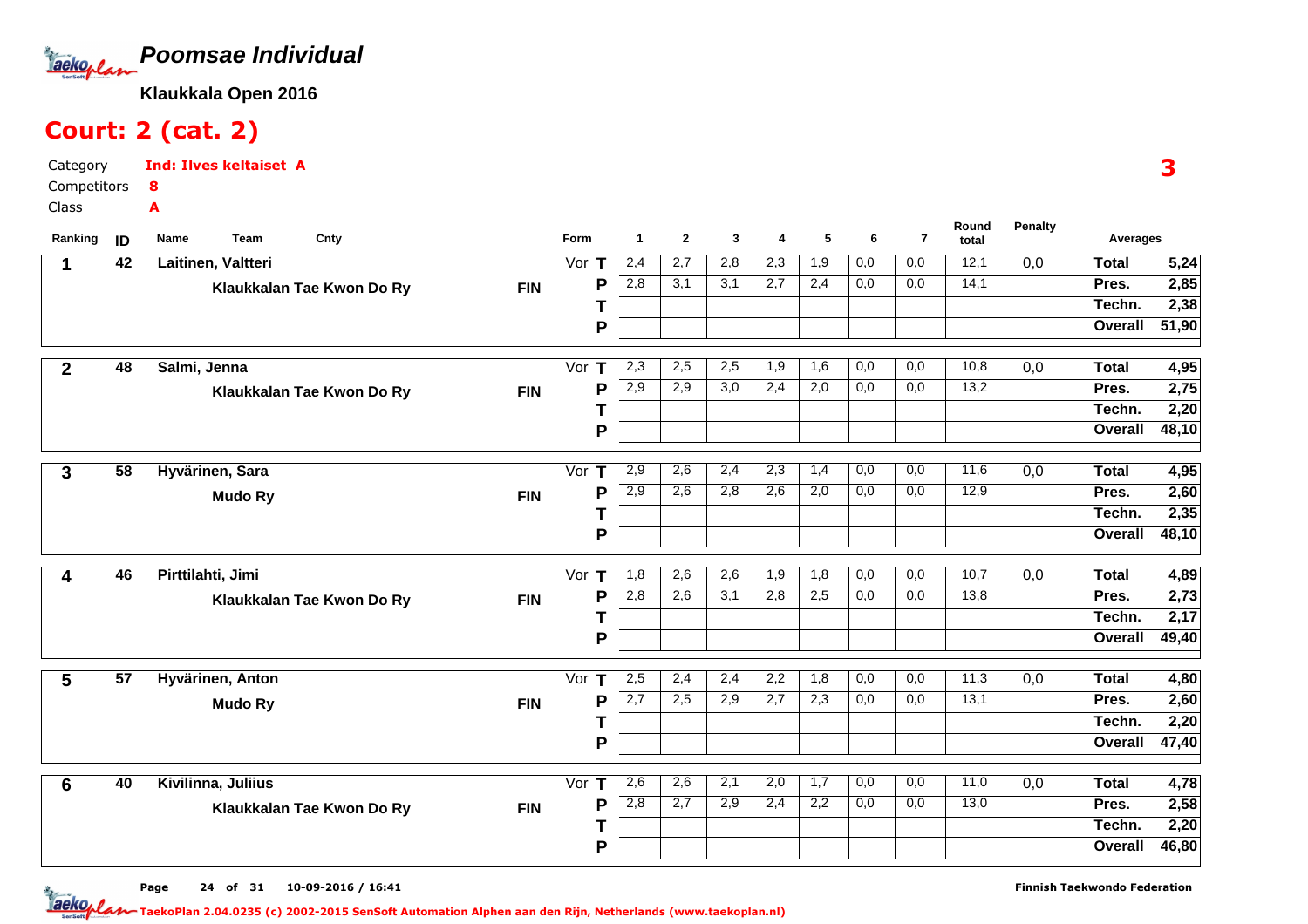

# Court: 2 (cat. 2)

Category CompetitorsClassInd: Ilves keltaiset A8A

| Ranking      | ID              | Team<br>Cnty<br>Name      |            | Form    | -1               | $\mathbf{2}$ | 3                | 4   | 5   | 6   | $\overline{\mathbf{r}}$ | Round<br>total | <b>Penalty</b>   | Averages     |                   |
|--------------|-----------------|---------------------------|------------|---------|------------------|--------------|------------------|-----|-----|-----|-------------------------|----------------|------------------|--------------|-------------------|
| 1            | $\overline{42}$ | Laitinen, Valtteri        |            | Vor $T$ | 2,4              | 2,7          | 2,8              | 2,3 | 1,9 | 0,0 | 0,0                     | 12,1           | $\overline{0,0}$ | <b>Total</b> | 5,24              |
|              |                 | Klaukkalan Tae Kwon Do Ry | <b>FIN</b> | P       | 2,8              | 3,1          | 3,1              | 2,7 | 2,4 | 0,0 | 0,0                     | 14,1           |                  | Pres.        | 2,85              |
|              |                 |                           |            |         |                  |              |                  |     |     |     |                         |                |                  | Techn.       | 2,38              |
|              |                 |                           |            | P       |                  |              |                  |     |     |     |                         |                |                  | Overall      | 51,90             |
| $\mathbf{2}$ | 48              | Salmi, Jenna              |            | Vor $T$ | 2,3              | 2,5          | 2,5              | 1,9 | 1,6 | 0,0 | 0,0                     | 10,8           | 0,0              | <b>Total</b> | 4,95              |
|              |                 | Klaukkalan Tae Kwon Do Ry | <b>FIN</b> | P       | 2,9              | 2,9          | $\overline{3,0}$ | 2,4 | 2,0 | 0,0 | 0,0                     | 13,2           |                  | Pres.        | 2,75              |
|              |                 |                           |            | Τ       |                  |              |                  |     |     |     |                         |                |                  | Techn.       | 2,20              |
|              |                 |                           |            | P       |                  |              |                  |     |     |     |                         |                |                  | Overall      | 48,10             |
|              | $\overline{58}$ | Hyvärinen, Sara           |            | Vor $T$ | 2,9              | 2,6          | 2,4              | 2,3 | 1,4 | 0,0 | 0,0                     | 11,6           | $\overline{0,0}$ | <b>Total</b> | 4,95              |
| 3            |                 |                           |            | P       | $\overline{2,9}$ | 2,6          | 2,8              | 2,6 | 2,0 | 0,0 | 0,0                     | 12,9           |                  | Pres.        | 2,60              |
|              |                 | <b>Mudo Ry</b>            | <b>FIN</b> |         |                  |              |                  |     |     |     |                         |                |                  | Techn.       | 2,35              |
|              |                 |                           |            | P       |                  |              |                  |     |     |     |                         |                |                  | Overall      | 48,10             |
|              |                 |                           |            |         |                  |              |                  |     |     |     |                         |                |                  |              |                   |
| 4            | 46              | Pirttilahti, Jimi         |            | Vor $T$ | 1,8              | 2,6          | 2,6              | 1,9 | 1,8 | 0,0 | 0,0                     | 10,7           | 0,0              | <b>Total</b> | 4,89              |
|              |                 | Klaukkalan Tae Kwon Do Ry | <b>FIN</b> | P       | 2,8              | 2,6          | 3,1              | 2,8 | 2,5 | 0,0 | $\overline{0,0}$        | 13,8           |                  | Pres.        | 2,73              |
|              |                 |                           |            |         |                  |              |                  |     |     |     |                         |                |                  | Techn.       | 2,17              |
|              |                 |                           |            | P       |                  |              |                  |     |     |     |                         |                |                  | Overall      | 49,40             |
| 5            | 57              | Hyvärinen, Anton          |            | Vor $T$ | 2,5              | 2,4          | 2,4              | 2,2 | 1,8 | 0,0 | 0,0                     | 11,3           | 0,0              | <b>Total</b> | 4,80              |
|              |                 | <b>Mudo Ry</b>            | <b>FIN</b> | P       | 2,7              | 2,5          | 2,9              | 2,7 | 2,3 | 0,0 | 0,0                     | 13,1           |                  | Pres.        | $\overline{2,60}$ |
|              |                 |                           |            |         |                  |              |                  |     |     |     |                         |                |                  | Techn.       | 2,20              |
|              |                 |                           |            | P       |                  |              |                  |     |     |     |                         |                |                  | Overall      | 47,40             |
| 6            | 40              | Kivilinna, Juliius        |            | Vor $T$ | 2,6              | 2,6          | 2,1              | 2,0 | 1,7 | 0,0 | 0,0                     | 11,0           | $\overline{0,0}$ | <b>Total</b> | 4,78              |
|              |                 | Klaukkalan Tae Kwon Do Ry | <b>FIN</b> | P       | 2,8              | 2,7          | 2,9              | 2,4 | 2,2 | 0,0 | 0,0                     | 13,0           |                  | Pres.        | 2,58              |
|              |                 |                           |            |         |                  |              |                  |     |     |     |                         |                |                  | Techn.       | 2,20              |
|              |                 |                           |            | P       |                  |              |                  |     |     |     |                         |                |                  | Overall      | 46,80             |
|              |                 |                           |            |         |                  |              |                  |     |     |     |                         |                |                  |              |                   |

Page 24 of 31 10-09-2016 / 16:41

Finnish Taekwondo Federation

<u>Jaeko<sub>p</sub> lan taekoPlan 2.04.0235 (c) 2002-2015 SenSoft Automation Alphen aan den Rijn, Netherlands (www.taekoplan.nl)</u>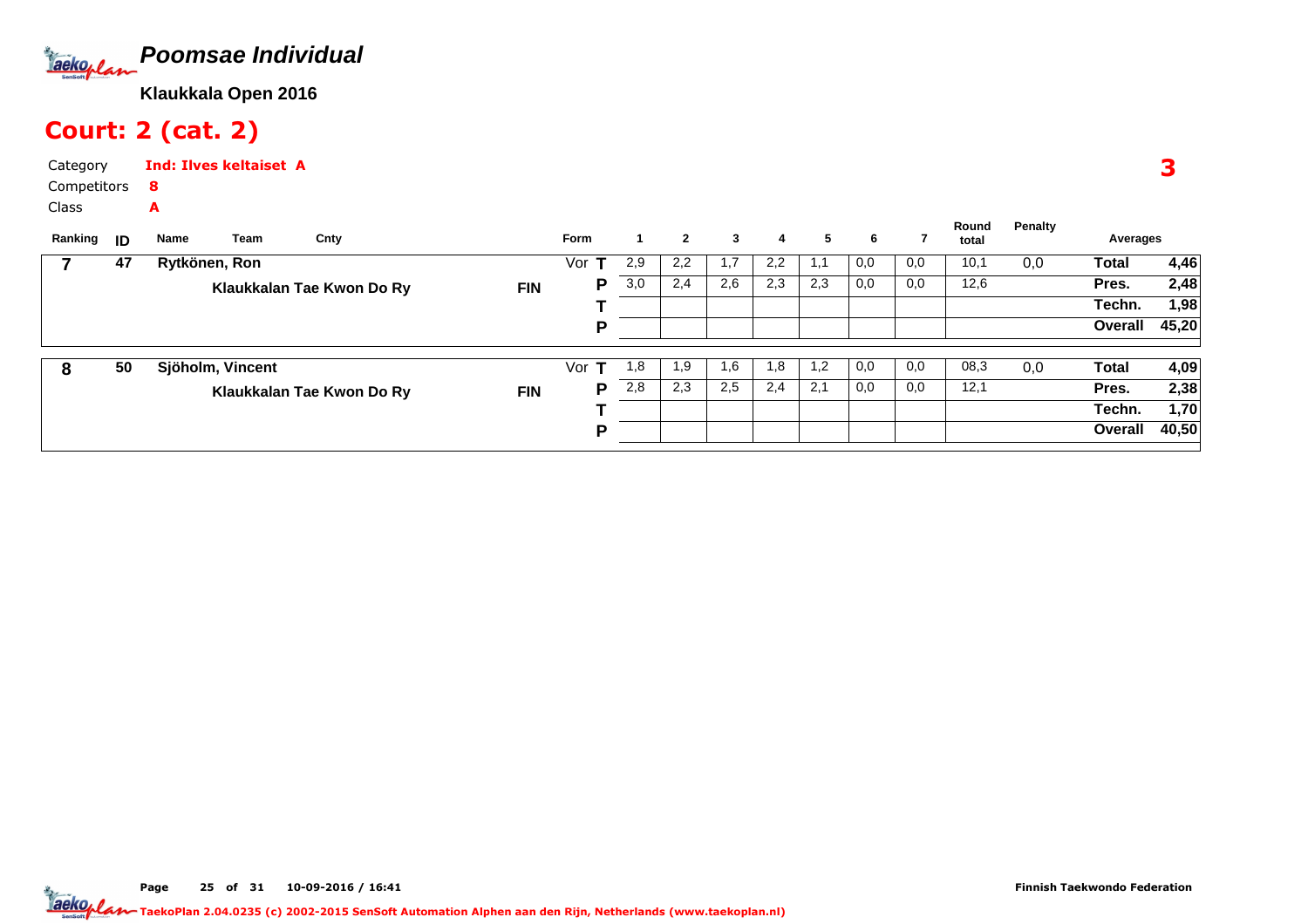

# Court: 2 (cat. 2)

Category CompetitorsInd: Ilves keltaiset A8A

Class

| Ranking | ID | Name          | Team             | Cnty                      |            | <b>Form</b> |     | $\mathbf{2}$ | 3   | 4   | 5    | 6   |     | Round<br>total | Penalty | Averages     |       |
|---------|----|---------------|------------------|---------------------------|------------|-------------|-----|--------------|-----|-----|------|-----|-----|----------------|---------|--------------|-------|
|         | 47 | Rytkönen, Ron |                  |                           |            | Vor         | 2,9 | 2,2          | 1,7 | 2,2 | -1,1 | 0,0 | 0,0 | 10,1           | 0,0     | Total        | 4,46  |
|         |    |               |                  | Klaukkalan Tae Kwon Do Ry | <b>FIN</b> | Р           | 3,0 | 2,4          | 2,6 | 2,3 | 2,3  | 0,0 | 0,0 | 12,6           |         | Pres.        | 2,48  |
|         |    |               |                  |                           |            |             |     |              |     |     |      |     |     |                |         | Techn.       | 1,98  |
|         |    |               |                  |                           |            | D           |     |              |     |     |      |     |     |                |         | Overall      | 45,20 |
|         |    |               |                  |                           |            |             |     |              |     |     |      |     |     |                |         |              |       |
| 8       | 50 |               | Sjöholm, Vincent |                           |            | Vor<br>т    | 1.8 | 1,9          | 1,6 | 1,8 | 1,2  | 0,0 | 0,0 | 08,3           | 0,0     | <b>Total</b> | 4,09  |
|         |    |               |                  | Klaukkalan Tae Kwon Do Ry | <b>FIN</b> | P           | 2,8 | 2,3          | 2,5 | 2,4 | 2,1  | 0,0 | 0,0 | 12,1           |         | Pres.        | 2,38  |
|         |    |               |                  |                           |            |             |     |              |     |     |      |     |     |                |         | Techn.       | 1,70  |
|         |    |               |                  |                           |            | D           |     |              |     |     |      |     |     |                |         | Overall      | 40,50 |
|         |    |               |                  |                           |            |             |     |              |     |     |      |     |     |                |         |              |       |

3

Page 25 of 31 10-09-2016 / 16:41 25 of 31 10-09-2016 / 16:4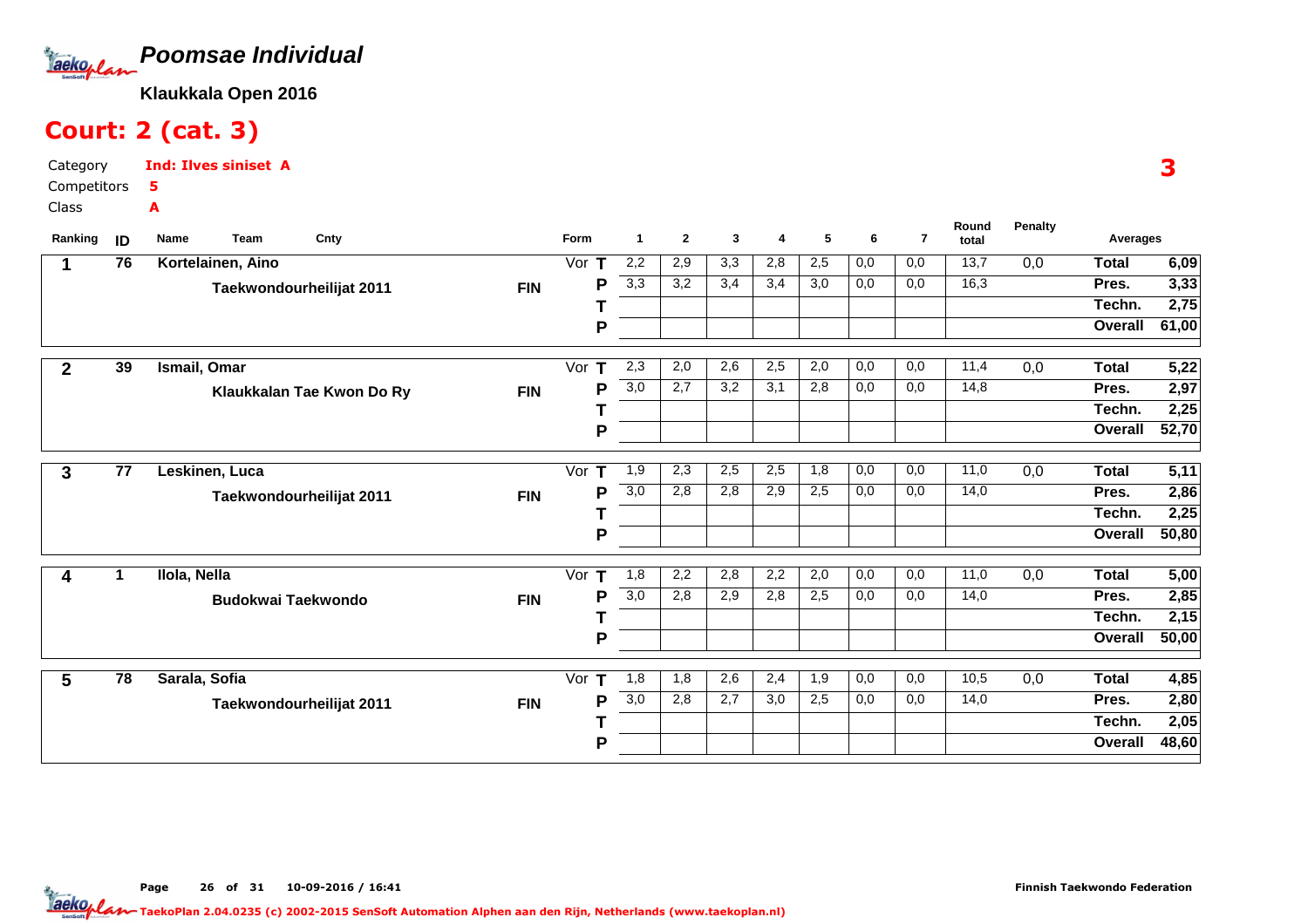

# Court: 2 (cat. 3)

Category CompetitorsClassInd: Ilves siniset A5A

| Ranking      | ID | <b>Team</b><br>Name       | Cnty                      |            | Form     | -1               | $\mathbf{2}$ | 3                | 4   | 5   | 6   | $\overline{7}$ | Round<br>total | <b>Penalty</b> | Averages     |        |
|--------------|----|---------------------------|---------------------------|------------|----------|------------------|--------------|------------------|-----|-----|-----|----------------|----------------|----------------|--------------|--------|
| 1            | 76 | Kortelainen, Aino         |                           |            | Vor<br>т | 2,2              | 2,9          | $\overline{3,3}$ | 2,8 | 2,5 | 0,0 | 0,0            | 13,7           | 0,0            | <b>Total</b> | 6,09   |
|              |    |                           | Taekwondourheilijat 2011  | <b>FIN</b> | P        | 3,3              | 3,2          | 3,4              | 3,4 | 3,0 | 0,0 | 0,0            | 16,3           |                | Pres.        | 3,33   |
|              |    |                           |                           |            |          |                  |              |                  |     |     |     |                |                |                | Techn.       | 2,75   |
|              |    |                           |                           |            | P        |                  |              |                  |     |     |     |                |                |                | Overall      | 61,00  |
| $\mathbf{2}$ | 39 | Ismail, Omar              |                           |            | Vor<br>т | 2,3              | 2,0          | 2,6              | 2,5 | 2,0 | 0,0 | 0,0            | 11,4           | 0,0            | <b>Total</b> | 5,22   |
|              |    |                           | Klaukkalan Tae Kwon Do Ry | <b>FIN</b> | Р        | 3,0              | 2,7          | 3,2              | 3,1 | 2,8 | 0,0 | 0,0            | 14,8           |                | Pres.        | 2,97   |
|              |    |                           |                           |            |          |                  |              |                  |     |     |     |                |                |                | Techn.       | 2,25   |
|              |    |                           |                           |            | P        |                  |              |                  |     |     |     |                |                |                | Overall      | 52,70  |
| 3            | 77 | Leskinen, Luca            |                           |            | Vor $T$  | 1,9              | 2,3          | 2,5              | 2,5 | 1,8 | 0,0 | 0,0            | 11,0           | 0,0            | <b>Total</b> | 5,11   |
|              |    |                           | Taekwondourheilijat 2011  | <b>FIN</b> | P        | 3,0              | 2,8          | 2,8              | 2,9 | 2,5 | 0,0 | 0,0            | 14,0           |                | Pres.        | 2,86   |
|              |    |                           |                           |            |          |                  |              |                  |     |     |     |                |                |                | Techn.       | 2,25   |
|              |    |                           |                           |            | P        |                  |              |                  |     |     |     |                |                |                | Overall      | 50, 80 |
| 4            | 1  | Ilola, Nella              |                           |            | Т<br>Vor | 1,8              | 2,2          | 2,8              | 2,2 | 2,0 | 0,0 | 0,0            | 11,0           | 0,0            | <b>Total</b> | 5,00   |
|              |    | <b>Budokwai Taekwondo</b> |                           | <b>FIN</b> | P        | $\overline{3,0}$ | 2,8          | 2,9              | 2,8 | 2,5 | 0,0 | 0,0            | 14,0           |                | Pres.        | 2,85   |
|              |    |                           |                           |            |          |                  |              |                  |     |     |     |                |                |                | Techn.       | 2,15   |
|              |    |                           |                           |            | P        |                  |              |                  |     |     |     |                |                |                | Overall      | 50,00  |
| 5            | 78 | Sarala, Sofia             |                           |            | Vor<br>т | 1,8              | 1,8          | 2,6              | 2,4 | 1,9 | 0,0 | 0,0            | 10,5           | 0,0            | <b>Total</b> | 4,85   |
|              |    |                           | Taekwondourheilijat 2011  | <b>FIN</b> | P        | $\overline{3,0}$ | 2,8          | 2,7              | 3,0 | 2,5 | 0,0 | 0,0            | 14,0           |                | Pres.        | 2,80   |
|              |    |                           |                           |            |          |                  |              |                  |     |     |     |                |                |                | Techn.       | 2,05   |
|              |    |                           |                           |            | P        |                  |              |                  |     |     |     |                |                |                | Overall      | 48,60  |

3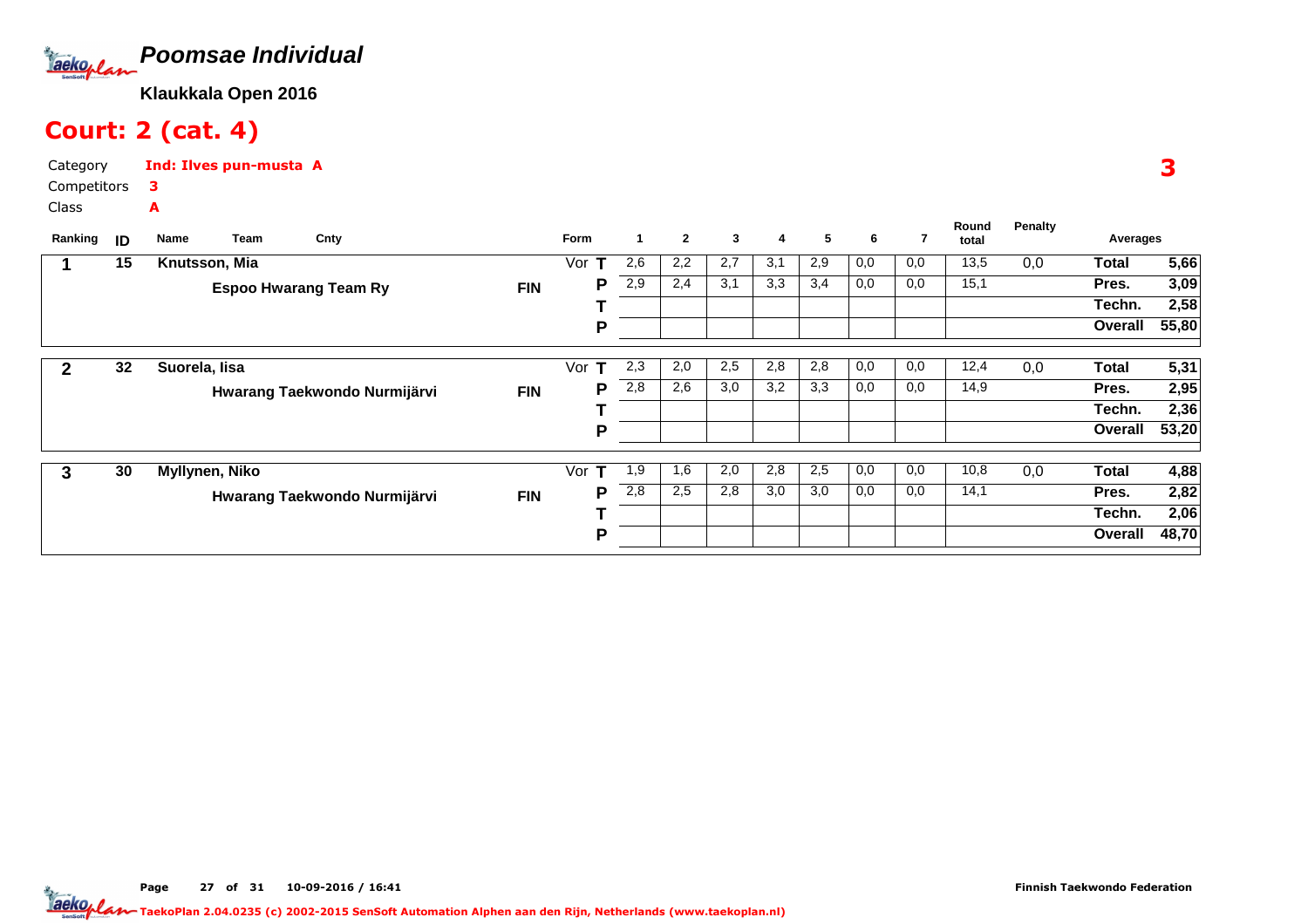

# Court: 2 (cat. 4)

Category CompetitorsInd: Ilves pun-musta A3A

Class

| Ranking | ID | Team<br>Name   | Cnty                         |            | Form     |     | $\overline{2}$ | 3   | 4   | 5   | 6   | $\overline{7}$ | Round<br>total | <b>Penalty</b> | Averages     |                   |
|---------|----|----------------|------------------------------|------------|----------|-----|----------------|-----|-----|-----|-----|----------------|----------------|----------------|--------------|-------------------|
|         | 15 |                |                              |            | т        | 2,6 | 2,2            | 2,7 | 3,1 | 2,9 | 0,0 | 0,0            | 13,5           | 0,0            | <b>Total</b> |                   |
|         |    | Knutsson, Mia  |                              |            | Vor      |     |                |     |     |     |     |                |                |                |              | $\overline{5,66}$ |
|         |    |                | <b>Espoo Hwarang Team Ry</b> | <b>FIN</b> | P        | 2,9 | 2.4            | 3,1 | 3,3 | 3,4 | 0,0 | 0,0            | 15,1           |                | Pres.        | 3,09              |
|         |    |                |                              |            |          |     |                |     |     |     |     |                |                |                | Techn.       | 2,58              |
|         |    |                |                              |            | P        |     |                |     |     |     |     |                |                |                | Overall      | 55,80             |
|         |    |                |                              |            |          |     |                |     |     |     |     |                |                |                |              |                   |
|         | 32 | Suorela, lisa  |                              |            | Vor<br>т | 2,3 | 2,0            | 2,5 | 2,8 | 2,8 | 0,0 | 0,0            | 12,4           | 0,0            | <b>Total</b> | 5,31              |
|         |    |                | Hwarang Taekwondo Nurmijärvi | <b>FIN</b> | Р        | 2,8 | 2,6            | 3,0 | 3,2 | 3,3 | 0,0 | 0,0            | 14,9           |                | Pres.        | 2,95              |
|         |    |                |                              |            |          |     |                |     |     |     |     |                |                |                | Techn.       | 2,36              |
|         |    |                |                              |            | Р        |     |                |     |     |     |     |                |                |                | Overall      | 53,20             |
|         |    |                |                              |            |          |     |                |     |     |     |     |                |                |                |              |                   |
| 3       | 30 | Myllynen, Niko |                              |            | Vor<br>т | 1,9 | 1,6            | 2,0 | 2,8 | 2,5 | 0,0 | 0,0            | 10,8           | 0,0            | <b>Total</b> | 4,88              |
|         |    |                | Hwarang Taekwondo Nurmijärvi | <b>FIN</b> | P        | 2,8 | 2,5            | 2,8 | 3,0 | 3,0 | 0,0 | 0,0            | 14,1           |                | Pres.        | 2,82              |
|         |    |                |                              |            |          |     |                |     |     |     |     |                |                |                | Techn.       | 2,06              |
|         |    |                |                              |            | P        |     |                |     |     |     |     |                |                |                | Overall      | 48,70             |
|         |    |                |                              |            |          |     |                |     |     |     |     |                |                |                |              |                   |

3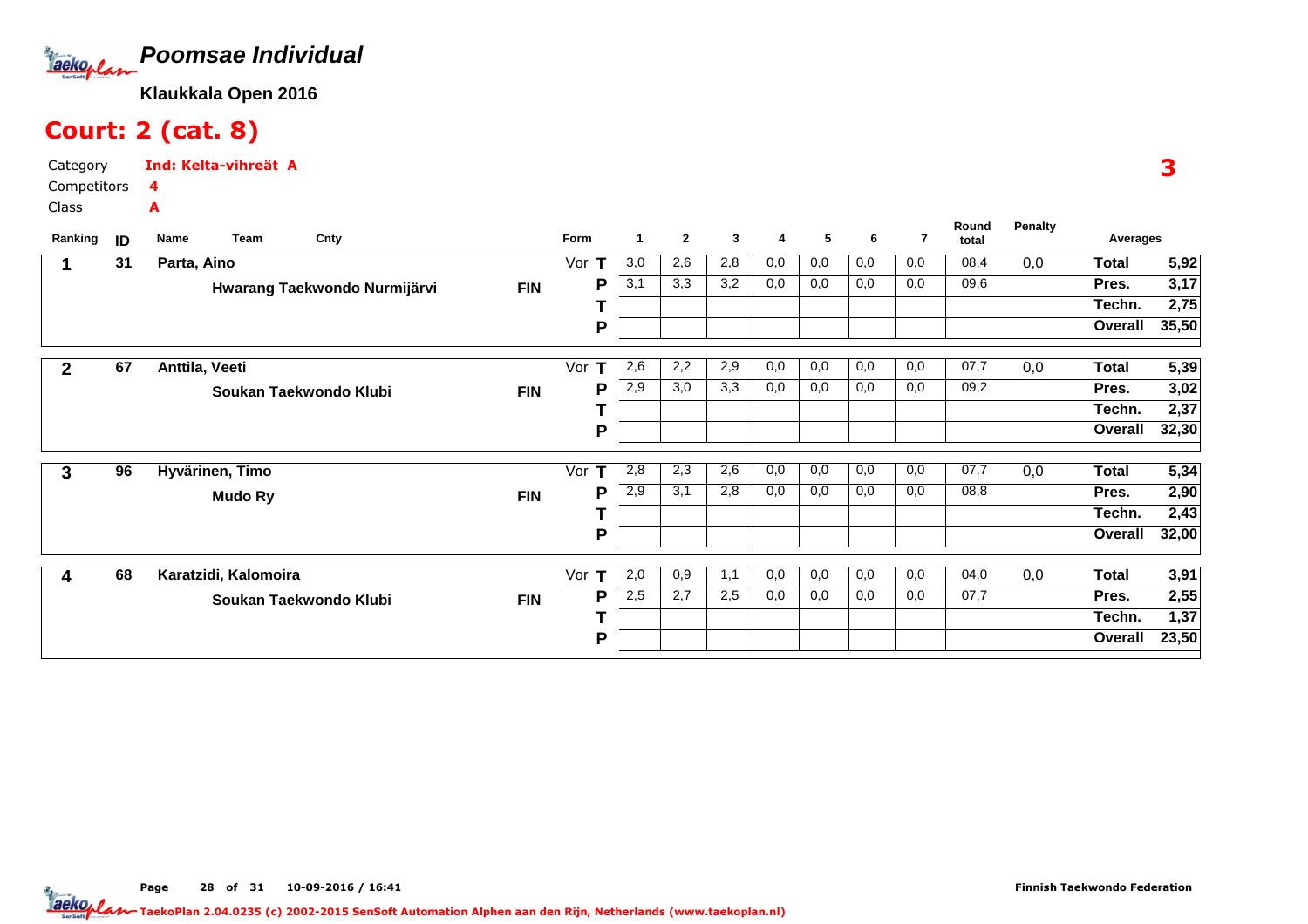

# Court: 2 (cat. 8)

Category CompetitorsClassInd: Kelta-vihreät A4A

| Ranking     | ID | Team<br><b>Name</b>  | Cnty                         |            | Form     | -1  | $\mathbf{2}$     | 3   | 4   | 5   | 6   | 7   | Round<br>total | <b>Penalty</b> | Averages     |       |
|-------------|----|----------------------|------------------------------|------------|----------|-----|------------------|-----|-----|-----|-----|-----|----------------|----------------|--------------|-------|
|             | 31 | Parta, Aino          |                              |            | Vor      | 3,0 | 2,6              | 2,8 | 0,0 | 0,0 | 0,0 | 0,0 | 08,4           | 0,0            | <b>Total</b> | 5,92  |
|             |    |                      | Hwarang Taekwondo Nurmijärvi | <b>FIN</b> | Р        | 3,1 | $\overline{3,3}$ | 3,2 | 0,0 | 0,0 | 0,0 | 0,0 | 09,6           |                | Pres.        | 3,17  |
|             |    |                      |                              |            |          |     |                  |     |     |     |     |     |                |                | Techn.       | 2,75  |
|             |    |                      |                              |            | P        |     |                  |     |     |     |     |     |                |                | Overall      | 35,50 |
| $\mathbf 2$ | 67 | Anttila, Veeti       |                              |            | Vor      | 2,6 | 2,2              | 2,9 | 0,0 | 0,0 | 0,0 | 0,0 | 07,7           | 0,0            | <b>Total</b> | 5,39  |
|             |    |                      | Soukan Taekwondo Klubi       | <b>FIN</b> | Р        | 2,9 | 3,0              | 3,3 | 0,0 | 0,0 | 0,0 | 0,0 | 09,2           |                | Pres.        | 3,02  |
|             |    |                      |                              |            |          |     |                  |     |     |     |     |     |                |                | Techn.       | 2,37  |
|             |    |                      |                              |            | Ρ        |     |                  |     |     |     |     |     |                |                | Overall      | 32,30 |
| 3           | 96 | Hyvärinen, Timo      |                              |            | Vor<br>т | 2,8 | 2,3              | 2,6 | 0,0 | 0,0 | 0,0 | 0,0 | 07,7           | 0,0            | <b>Total</b> | 5,34  |
|             |    | <b>Mudo Ry</b>       |                              | <b>FIN</b> | P        | 2,9 | 3,1              | 2,8 | 0,0 | 0,0 | 0,0 | 0,0 | 08,8           |                | Pres.        | 2,90  |
|             |    |                      |                              |            |          |     |                  |     |     |     |     |     |                |                | Techn.       | 2,43  |
|             |    |                      |                              |            | P        |     |                  |     |     |     |     |     |                |                | Overall      | 32,00 |
| 4           | 68 | Karatzidi, Kalomoira |                              |            | т<br>Vor | 2,0 | 0,9              | 1,1 | 0,0 | 0,0 | 0,0 | 0,0 | 04,0           | 0,0            | Total        | 3,91  |
|             |    |                      | Soukan Taekwondo Klubi       | <b>FIN</b> | P        | 2,5 | 2,7              | 2,5 | 0,0 | 0,0 | 0,0 | 0,0 | 07,7           |                | Pres.        | 2,55  |
|             |    |                      |                              |            |          |     |                  |     |     |     |     |     |                |                | Techn.       | 1,37  |
|             |    |                      |                              |            | P        |     |                  |     |     |     |     |     |                |                | Overall      | 23,50 |

3

TaekoPlan 2.04.0235 (c) 2002-2015 SenSoft Automation Alphen aan den Rijn, Netherlands (www.taekoplan.nl)

Page 28 of 31 10-09-2016 / 16:41 28 of 31 10-09-2016 / 16:4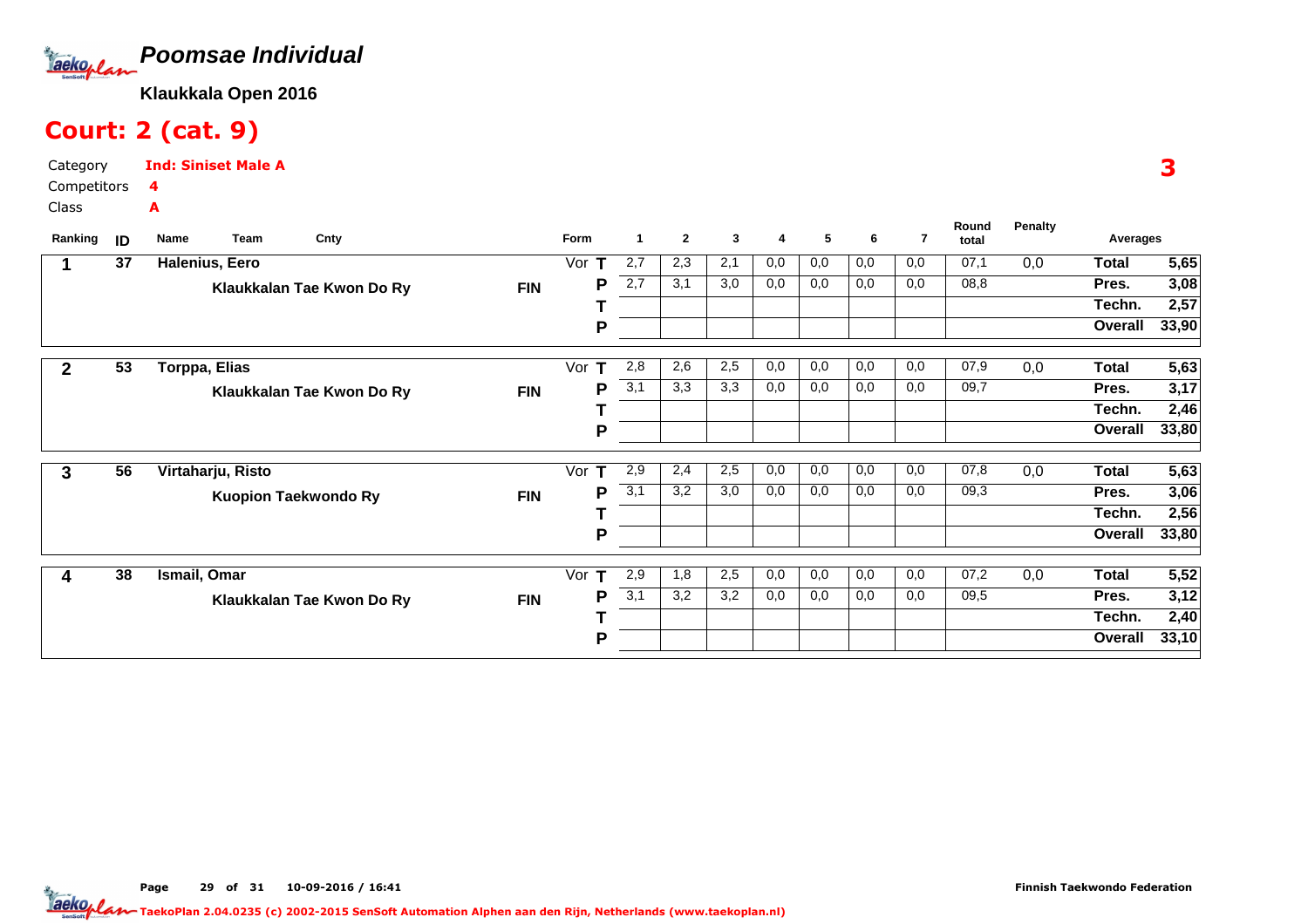

# Court: 2 (cat. 9)

Category CompetitorsClassInd: Siniset Male A4A

| Ranking      | ID | Name          | Team              | Cnty                        |            | Form     | $\mathbf 1$ | $\mathbf{2}$ | 3   | 4   | 5   | 6   | 7   | Round<br>total | Penalty | Averages     |       |
|--------------|----|---------------|-------------------|-----------------------------|------------|----------|-------------|--------------|-----|-----|-----|-----|-----|----------------|---------|--------------|-------|
|              | 37 |               | Halenius, Eero    |                             |            | Vor      | 2,7         | 2,3          | 2,1 | 0,0 | 0,0 | 0,0 | 0,0 | 07,1           | 0,0     | <b>Total</b> | 5,65  |
|              |    |               |                   | Klaukkalan Tae Kwon Do Ry   | <b>FIN</b> | P        | 2,7         | 3,1          | 3,0 | 0,0 | 0,0 | 0,0 | 0,0 | 08,8           |         | Pres.        | 3,08  |
|              |    |               |                   |                             |            |          |             |              |     |     |     |     |     |                |         | Techn.       | 2,57  |
|              |    |               |                   |                             |            | P        |             |              |     |     |     |     |     |                |         | Overall      | 33,90 |
| $\mathbf{2}$ | 53 | Torppa, Elias |                   |                             |            | Vor<br>т | 2,8         | 2,6          | 2,5 | 0,0 | 0,0 | 0,0 | 0,0 | 07,9           | 0,0     | Total        | 5,63  |
|              |    |               |                   | Klaukkalan Tae Kwon Do Ry   | <b>FIN</b> | Р        | 3,1         | 3,3          | 3,3 | 0,0 | 0,0 | 0,0 | 0,0 | 09,7           |         | Pres.        | 3,17  |
|              |    |               |                   |                             |            |          |             |              |     |     |     |     |     |                |         | Techn.       | 2,46  |
|              |    |               |                   |                             |            | P        |             |              |     |     |     |     |     |                |         | Overall      | 33,80 |
| 3            | 56 |               | Virtaharju, Risto |                             |            | Vor<br>т | 2,9         | 2,4          | 2,5 | 0,0 | 0,0 | 0,0 | 0,0 | 07,8           | 0,0     | <b>Total</b> | 5,63  |
|              |    |               |                   | <b>Kuopion Taekwondo Ry</b> | <b>FIN</b> | Р        | 3,1         | 3,2          | 3,0 | 0,0 | 0,0 | 0,0 | 0,0 | 09,3           |         | Pres.        | 3,06  |
|              |    |               |                   |                             |            |          |             |              |     |     |     |     |     |                |         | Techn.       | 2,56  |
|              |    |               |                   |                             |            | P        |             |              |     |     |     |     |     |                |         | Overall      | 33,80 |
| 4            | 38 | Ismail, Omar  |                   |                             |            | т<br>Vor | 2,9         | 1,8          | 2,5 | 0,0 | 0,0 | 0,0 | 0,0 | 07,2           | 0,0     | Total        | 5,52  |
|              |    |               |                   | Klaukkalan Tae Kwon Do Ry   | <b>FIN</b> | P        | 3,1         | 3,2          | 3,2 | 0,0 | 0,0 | 0,0 | 0,0 | 09,5           |         | Pres.        | 3,12  |
|              |    |               |                   |                             |            |          |             |              |     |     |     |     |     |                |         | Techn.       | 2,40  |
|              |    |               |                   |                             |            | P        |             |              |     |     |     |     |     |                |         | Overall      | 33,10 |

Page 29 of 31 10-09-2016 / 16:41 29 of 31 10-09-2016 / 16:4

3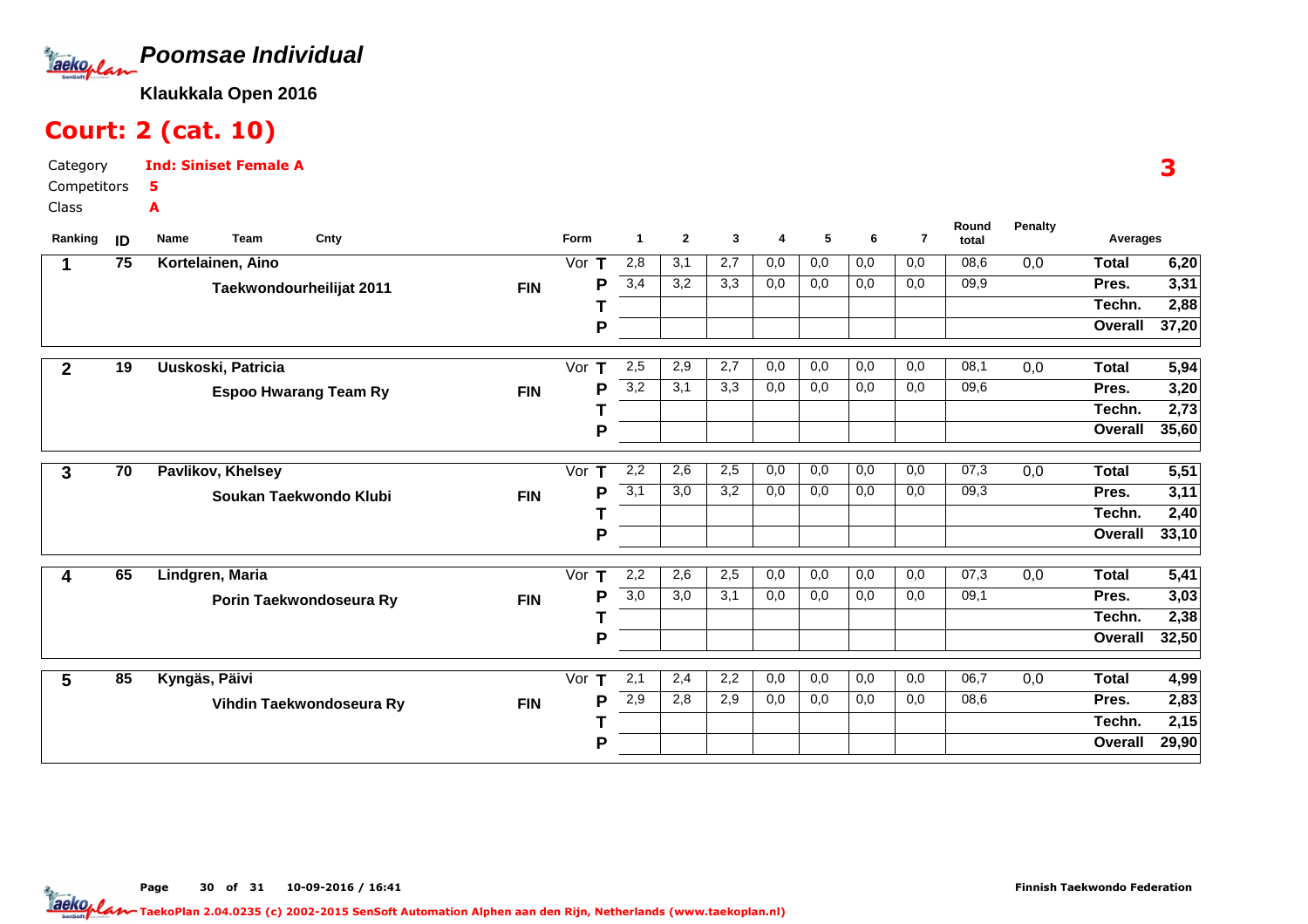

# Court: 2 (cat. 10)

Category CompetitorsClassInd: Siniset Female A5A

| Ranking      | ID              | Name<br><b>Team</b><br>Cnty  |            | Form    | 1                | $\mathbf{2}$ | 3   | 4   | 5   | 6   | $\overline{7}$ | Round<br>total | <b>Penalty</b>   | Averages     |       |
|--------------|-----------------|------------------------------|------------|---------|------------------|--------------|-----|-----|-----|-----|----------------|----------------|------------------|--------------|-------|
|              | 75              | Kortelainen, Aino            |            | Vor $T$ | 2,8              | 3,1          | 2,7 | 0,0 | 0,0 | 0,0 | 0,0            | 08,6           | 0,0              | <b>Total</b> | 6,20  |
|              |                 | Taekwondourheilijat 2011     | <b>FIN</b> | P       | 3,4              | 3,2          | 3,3 | 0,0 | 0,0 | 0,0 | 0,0            | 09,9           |                  | Pres.        | 3,31  |
|              |                 |                              |            |         |                  |              |     |     |     |     |                |                |                  | Techn.       | 2,88  |
|              |                 |                              |            | P       |                  |              |     |     |     |     |                |                |                  | Overall      | 37,20 |
| $\mathbf{2}$ | $\overline{19}$ | Uuskoski, Patricia           |            | Vor $T$ | 2,5              | 2,9          | 2,7 | 0,0 | 0,0 | 0,0 | 0,0            | 08,1           | $\overline{0,0}$ | <b>Total</b> | 5,94  |
|              |                 | <b>Espoo Hwarang Team Ry</b> | <b>FIN</b> | P       | $\overline{3,2}$ | 3,1          | 3,3 | 0,0 | 0,0 | 0,0 | 0,0            | 09,6           |                  | Pres.        | 3,20  |
|              |                 |                              |            |         |                  |              |     |     |     |     |                |                |                  | Techn.       | 2,73  |
|              |                 |                              |            | P       |                  |              |     |     |     |     |                |                |                  | Overall      | 35,60 |
| 3            | 70              | <b>Pavlikov, Khelsey</b>     |            | Vor T   | 2,2              | 2,6          | 2,5 | 0,0 | 0,0 | 0,0 | 0,0            | 07,3           | 0,0              | <b>Total</b> | 5,51  |
|              |                 | Soukan Taekwondo Klubi       | <b>FIN</b> | P       | 3,1              | 3,0          | 3,2 | 0,0 | 0,0 | 0,0 | 0,0            | 09,3           |                  | Pres.        | 3,11  |
|              |                 |                              |            |         |                  |              |     |     |     |     |                |                |                  | Techn.       | 2,40  |
|              |                 |                              |            | P       |                  |              |     |     |     |     |                |                |                  | Overall      | 33,10 |
| 4            | 65              | Lindgren, Maria              |            | Vor $T$ | 2,2              | 2,6          | 2,5 | 0,0 | 0,0 | 0,0 | 0,0            | 07,3           | 0,0              | <b>Total</b> | 5,41  |
|              |                 | Porin Taekwondoseura Ry      | <b>FIN</b> | P       | $\overline{3,0}$ | 3,0          | 3,1 | 0,0 | 0,0 | 0,0 | 0,0            | 09,1           |                  | Pres.        | 3,03  |
|              |                 |                              |            |         |                  |              |     |     |     |     |                |                |                  | Techn.       | 2,38  |
|              |                 |                              |            | P       |                  |              |     |     |     |     |                |                |                  | Overall      | 32,50 |
| 5            | 85              | Kyngäs, Päivi                |            | Vor $T$ | 2,1              | 2,4          | 2,2 | 0,0 | 0,0 | 0,0 | 0,0            | 06,7           | 0,0              | <b>Total</b> | 4,99  |
|              |                 | Vihdin Taekwondoseura Ry     | <b>FIN</b> | P       | 2,9              | 2,8          | 2,9 | 0,0 | 0,0 | 0,0 | 0,0            | 08,6           |                  | Pres.        | 2,83  |
|              |                 |                              |            |         |                  |              |     |     |     |     |                |                |                  | Techn.       | 2,15  |
|              |                 |                              |            | P       |                  |              |     |     |     |     |                |                |                  | Overall      | 29,90 |

3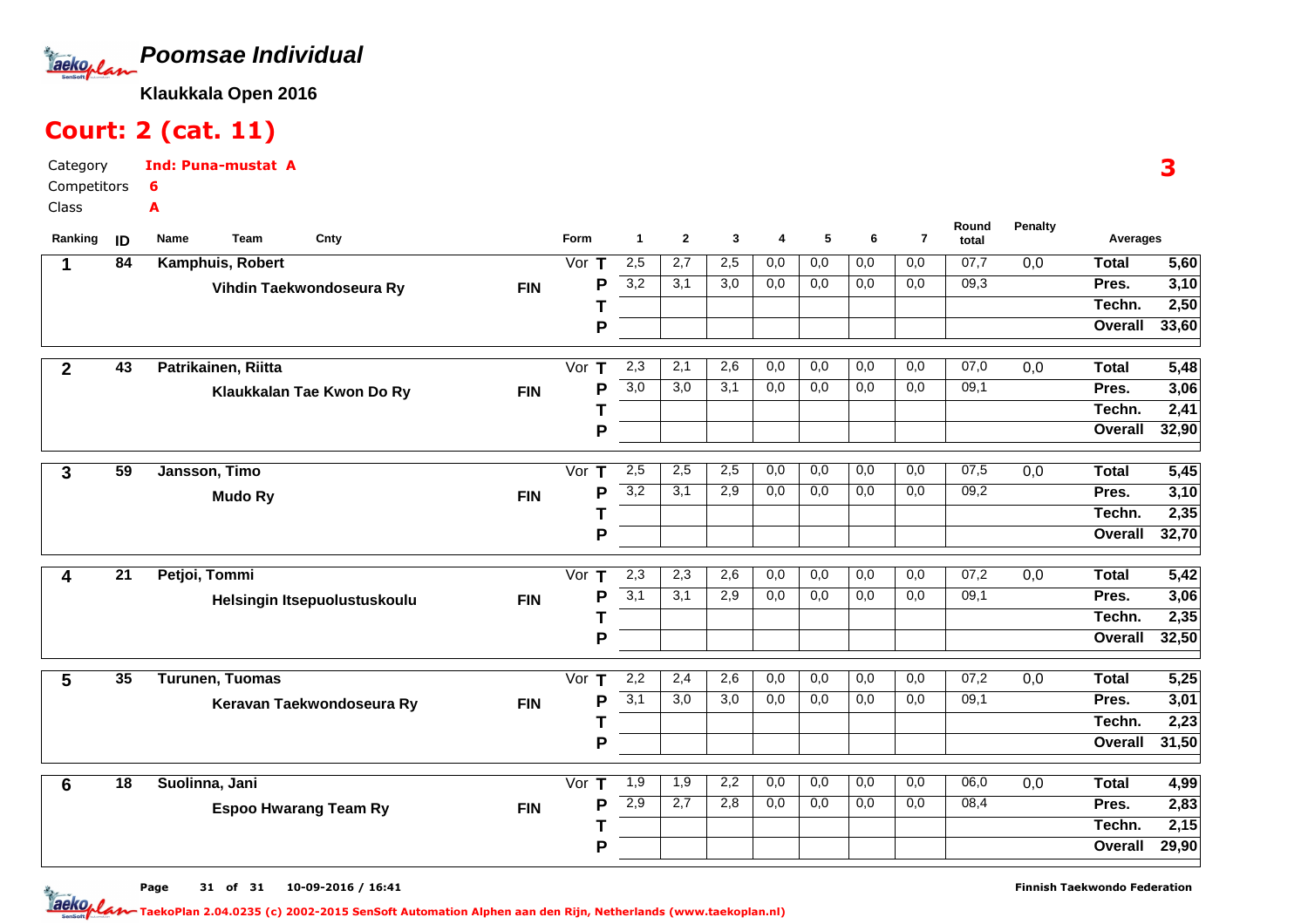

# Court: 2 (cat. 11)

Category CompetitorsClassInd: Puna-mustat A6A

| Ranking        | ID              | Team<br>Cnty<br>Name         |            | Form               | $\blacktriangleleft$ | $\mathbf{2}$ | 3   | 4   | 5                | 6   | $\overline{7}$ | Round<br>total | <b>Penalty</b>   | Averages     |                   |
|----------------|-----------------|------------------------------|------------|--------------------|----------------------|--------------|-----|-----|------------------|-----|----------------|----------------|------------------|--------------|-------------------|
| 1              | 84              | Kamphuis, Robert             |            | Vor $T$            | 2,5                  | 2,7          | 2,5 | 0,0 | $\overline{0,0}$ | 0,0 | 0,0            | 07,7           | $\overline{0,0}$ | <b>Total</b> | 5,60              |
|                |                 | Vihdin Taekwondoseura Ry     | <b>FIN</b> | P                  | 3,2                  | 3,1          | 3,0 | 0,0 | 0,0              | 0,0 | 0,0            | 09,3           |                  | Pres.        | 3,10              |
|                |                 |                              |            |                    |                      |              |     |     |                  |     |                |                |                  | Techn.       | 2,50              |
|                |                 |                              |            | P                  |                      |              |     |     |                  |     |                |                |                  | Overall      | 33,60             |
| $\overline{2}$ | $\overline{43}$ | Patrikainen, Riitta          |            | Vor<br>$\mathbf T$ | 2,3                  | 2,1          | 2,6 | 0,0 | 0,0              | 0,0 | 0,0            | 07,0           | $\overline{0,0}$ | <b>Total</b> | 5,48              |
|                |                 | Klaukkalan Tae Kwon Do Ry    | <b>FIN</b> | P                  | 3,0                  | 3,0          | 3,1 | 0,0 | 0,0              | 0,0 | 0,0            | 09,1           |                  | Pres.        | 3,06              |
|                |                 |                              |            |                    |                      |              |     |     |                  |     |                |                |                  | Techn.       | 2,41              |
|                |                 |                              |            | P                  |                      |              |     |     |                  |     |                |                |                  | Overall      | 32,90             |
| 3              | $\overline{59}$ | Jansson, Timo                |            | Vor<br>$\mathbf T$ | 2,5                  | 2,5          | 2,5 | 0,0 | 0,0              | 0,0 | 0,0            | 07,5           | 0,0              | <b>Total</b> | 5,45              |
|                |                 | <b>Mudo Ry</b>               | <b>FIN</b> | P                  | 3,2                  | 3,1          | 2,9 | 0,0 | 0,0              | 0,0 | 0,0            | 09,2           |                  | Pres.        | 3,10              |
|                |                 |                              |            |                    |                      |              |     |     |                  |     |                |                |                  | Techn.       | $\overline{2,35}$ |
|                |                 |                              |            | P                  |                      |              |     |     |                  |     |                |                |                  | Overall      | 32,70             |
| 4              | 21              | Petjoi, Tommi                |            | Vor<br>$\mathbf T$ | 2,3                  | 2,3          | 2,6 | 0,0 | 0,0              | 0,0 | 0,0            | 07,2           | 0,0              | <b>Total</b> | 5,42              |
|                |                 | Helsingin Itsepuolustuskoulu | <b>FIN</b> | P                  | 3,1                  | 3,1          | 2,9 | 0,0 | 0,0              | 0,0 | 0,0            | 09,1           |                  | Pres.        | 3,06              |
|                |                 |                              |            |                    |                      |              |     |     |                  |     |                |                |                  | Techn.       | 2,35              |
|                |                 |                              |            | P                  |                      |              |     |     |                  |     |                |                |                  | Overall      | 32,50             |
| 5              | 35              | <b>Turunen, Tuomas</b>       |            | Vor $T$            | 2,2                  | 2,4          | 2,6 | 0,0 | 0,0              | 0,0 | 0,0            | 07,2           | $\overline{0,0}$ | <b>Total</b> | 5,25              |
|                |                 | Keravan Taekwondoseura Ry    | <b>FIN</b> | Ρ                  | 3,1                  | 3,0          | 3,0 | 0,0 | 0,0              | 0,0 | 0,0            | 09,1           |                  | Pres.        | 3,01              |
|                |                 |                              |            |                    |                      |              |     |     |                  |     |                |                |                  | Techn.       | 2,23              |
|                |                 |                              |            | P                  |                      |              |     |     |                  |     |                |                |                  | Overall      | 31,50             |
| $6\phantom{1}$ | 18              | Suolinna, Jani               |            | Vor<br>т           | 1,9                  | 1,9          | 2,2 | 0,0 | 0,0              | 0,0 | 0,0            | 06,0           | 0,0              | <b>Total</b> | 4,99              |
|                |                 | <b>Espoo Hwarang Team Ry</b> | <b>FIN</b> | P                  | 2,9                  | 2,7          | 2,8 | 0,0 | 0,0              | 0,0 | 0,0            | 08,4           |                  | Pres.        | $\overline{2,83}$ |
|                |                 |                              |            |                    |                      |              |     |     |                  |     |                |                |                  | Techn.       | $\overline{2,15}$ |
|                |                 |                              |            | Ρ                  |                      |              |     |     |                  |     |                |                |                  | Overall      | 29,90             |
|                |                 |                              |            |                    |                      |              |     |     |                  |     |                |                |                  |              |                   |

3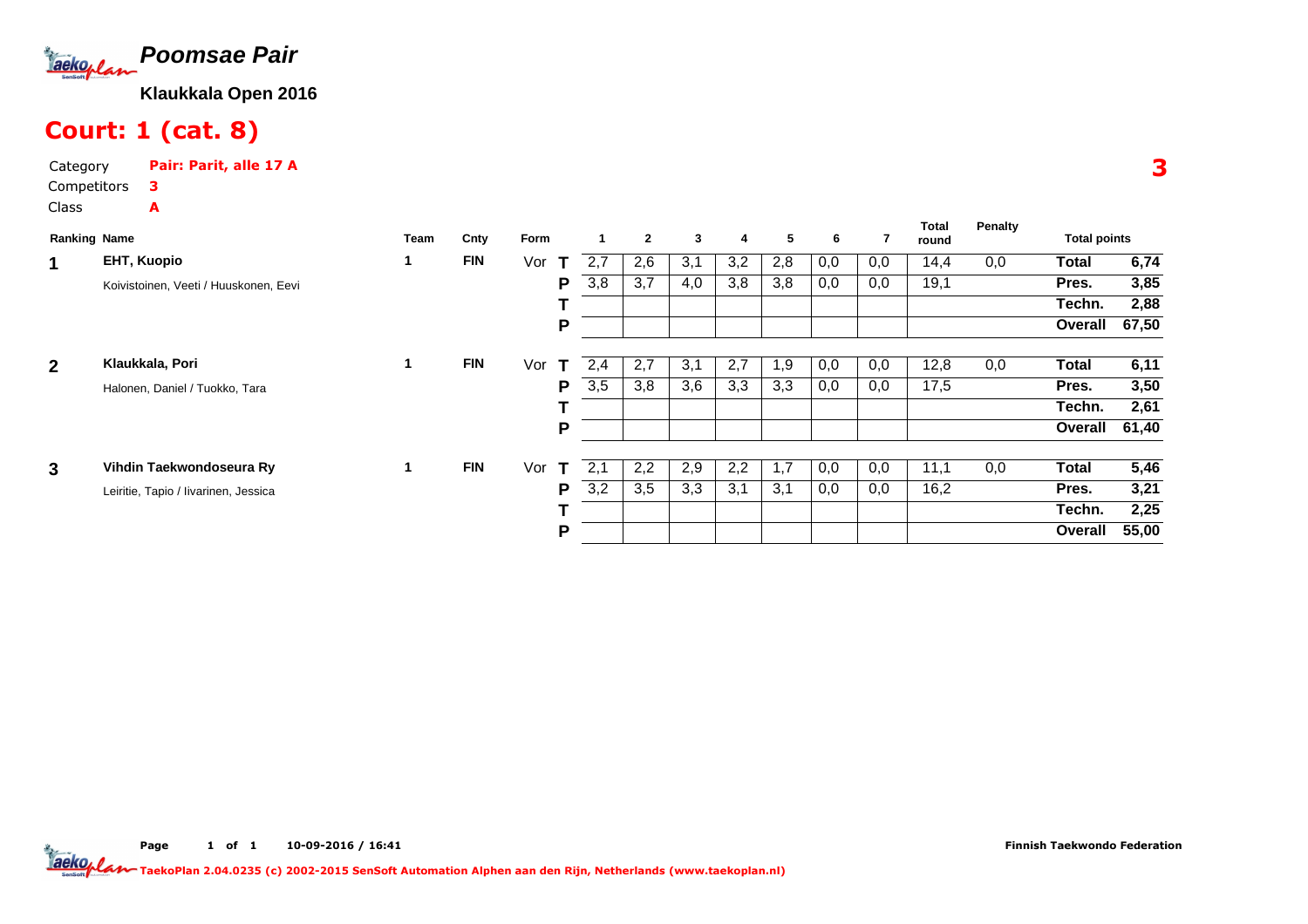

# Court: 1 (cat. 8)

A

Category Pair: Parit, alle 17 ACompetitors3

Class

| <b>Ranking Name</b> |                                       | Team | Cnty       | Form                |     | $\mathbf{2}$ | 3   | 4   | 5   | 6   |     | Total<br>round | <b>Penalty</b> | <b>Total points</b> |       |
|---------------------|---------------------------------------|------|------------|---------------------|-----|--------------|-----|-----|-----|-----|-----|----------------|----------------|---------------------|-------|
| 1                   | <b>EHT, Kuopio</b>                    | 1    | <b>FIN</b> | Vor<br>$\mathbf{T}$ | 2,7 | 2,6          | 3,1 | 3,2 | 2,8 | 0,0 | 0,0 | 14,4           | 0,0            | <b>Total</b>        | 6,74  |
|                     | Koivistoinen, Veeti / Huuskonen, Eevi |      |            | P                   | 3,8 | 3,7          | 4,0 | 3,8 | 3,8 | 0,0 | 0,0 | 19,1           |                | Pres.               | 3,85  |
|                     |                                       |      |            |                     |     |              |     |     |     |     |     |                |                | Techn.              | 2,88  |
|                     |                                       |      |            | P                   |     |              |     |     |     |     |     |                |                | Overall             | 67,50 |
| $\overline{2}$      | Klaukkala, Pori                       | 1    | <b>FIN</b> | Vor<br>Т            | 2,4 | 2,7          | 3,1 | 2,7 | 1,9 | 0,0 | 0,0 | 12,8           | 0,0            | <b>Total</b>        | 6,11  |
|                     | Halonen, Daniel / Tuokko, Tara        |      |            | P                   | 3,5 | 3,8          | 3,6 | 3,3 | 3,3 | 0,0 | 0,0 | 17,5           |                | Pres.               | 3,50  |
|                     |                                       |      |            |                     |     |              |     |     |     |     |     |                |                | Techn.              | 2,61  |
|                     |                                       |      |            | P                   |     |              |     |     |     |     |     |                |                | Overall             | 61,40 |
| $\mathbf{3}$        | Vihdin Taekwondoseura Ry              | 1    | <b>FIN</b> | Vor<br>т            | 2,1 | 2,2          | 2,9 | 2,2 | 1,7 | 0,0 | 0,0 | 11,1           | 0,0            | <b>Total</b>        | 5,46  |
|                     | Leiritie, Tapio / livarinen, Jessica  |      |            | P                   | 3,2 | 3,5          | 3,3 | 3,1 | 3,1 | 0,0 | 0,0 | 16,2           |                | Pres.               | 3,21  |
|                     |                                       |      |            |                     |     |              |     |     |     |     |     |                |                | Techn.              | 2,25  |
|                     |                                       |      |            | P                   |     |              |     |     |     |     |     |                |                | Overall             | 55,00 |

3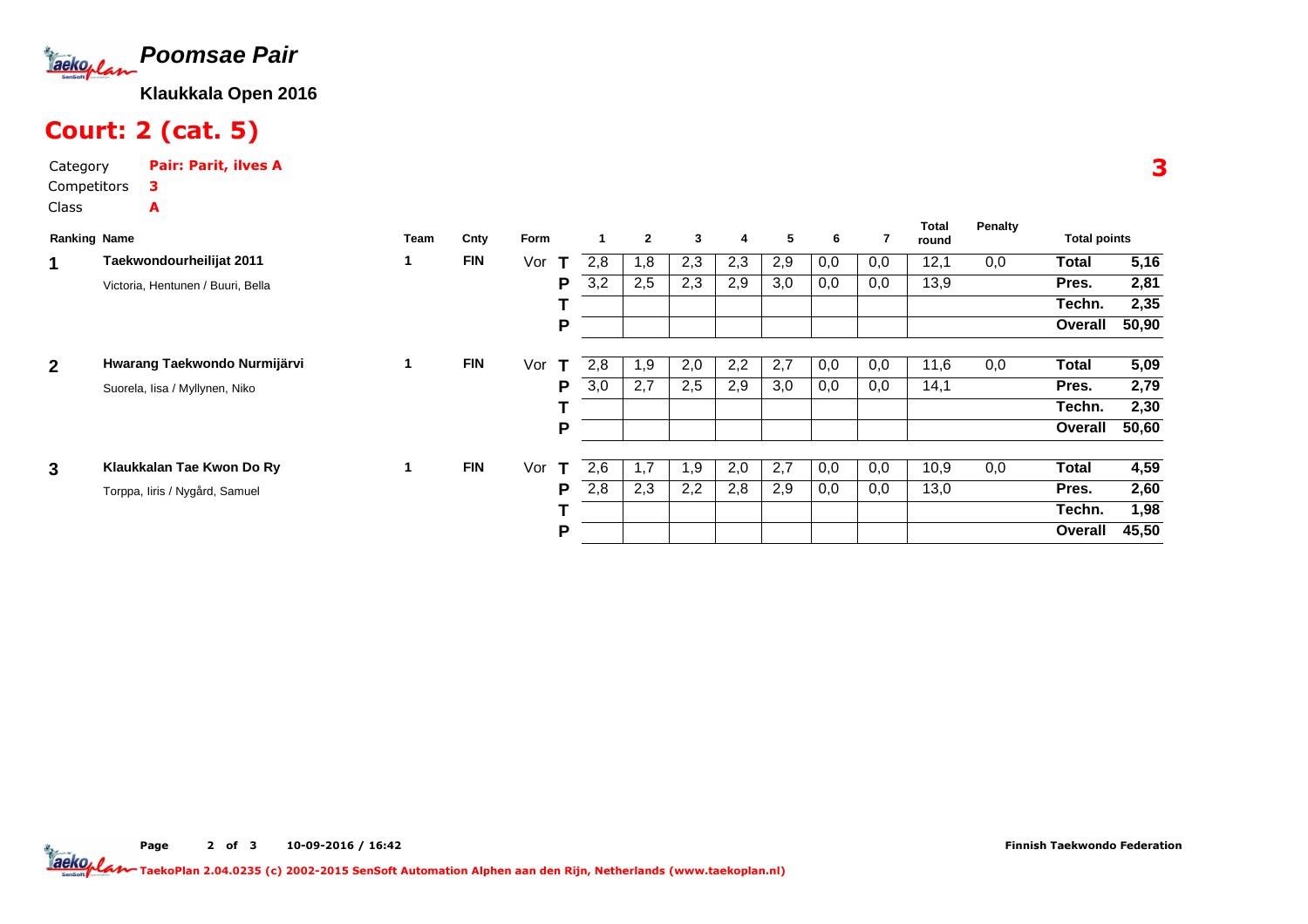

# Court: 2 (cat. 5)

Category Pair: Parit, ilves ACompetitors3A

Class

| <b>Ranking Name</b> |                                   | <b>Team</b> | Cnty       | Form               |     | $\overline{2}$ | 3   | 4   | 5   | 6   |     | Total<br>round | <b>Penalty</b> | <b>Total points</b> |       |
|---------------------|-----------------------------------|-------------|------------|--------------------|-----|----------------|-----|-----|-----|-----|-----|----------------|----------------|---------------------|-------|
| 1                   | Taekwondourheilijat 2011          |             | <b>FIN</b> | Vor<br>$\mathbf T$ | 2.8 | 1,8            | 2,3 | 2,3 | 2,9 | 0,0 | 0,0 | 12,1           | 0,0            | <b>Total</b>        | 5,16  |
|                     | Victoria, Hentunen / Buuri, Bella |             |            | P                  | 3,2 | 2,5            | 2,3 | 2,9 | 3,0 | 0,0 | 0,0 | 13,9           |                | Pres.               | 2,81  |
|                     |                                   |             |            |                    |     |                |     |     |     |     |     |                |                | Techn.              | 2,35  |
|                     |                                   |             |            | P                  |     |                |     |     |     |     |     |                |                | Overall             | 50,90 |
| $\overline{2}$      | Hwarang Taekwondo Nurmijärvi      | 1           | <b>FIN</b> | Vor<br>$\mathbf T$ | 2,8 | 1,9            | 2,0 | 2,2 | 2,7 | 0,0 | 0,0 | 11,6           | 0,0            | Total               | 5,09  |
|                     | Suorela, Iisa / Myllynen, Niko    |             |            | P                  | 3,0 | 2,7            | 2,5 | 2,9 | 3,0 | 0,0 | 0,0 | 14,1           |                | Pres.               | 2,79  |
|                     |                                   |             |            |                    |     |                |     |     |     |     |     |                |                | Techn.              | 2,30  |
|                     |                                   |             |            | P                  |     |                |     |     |     |     |     |                |                | Overall             | 50,60 |
| 3                   | Klaukkalan Tae Kwon Do Ry         |             | <b>FIN</b> | Vor                | 2,6 | 1,7            | 1,9 | 2,0 | 2,7 | 0,0 | 0,0 | 10,9           | 0,0            | <b>Total</b>        | 4,59  |
|                     | Torppa, Iiris / Nygård, Samuel    |             |            | P                  | 2,8 | 2,3            | 2,2 | 2,8 | 2,9 | 0,0 | 0,0 | 13,0           |                | Pres.               | 2,60  |
|                     |                                   |             |            |                    |     |                |     |     |     |     |     |                |                | Techn.              | 1,98  |
|                     |                                   |             |            | P                  |     |                |     |     |     |     |     |                |                | Overall             | 45,50 |

Page 2 of 3 10-09-2016 / 16:42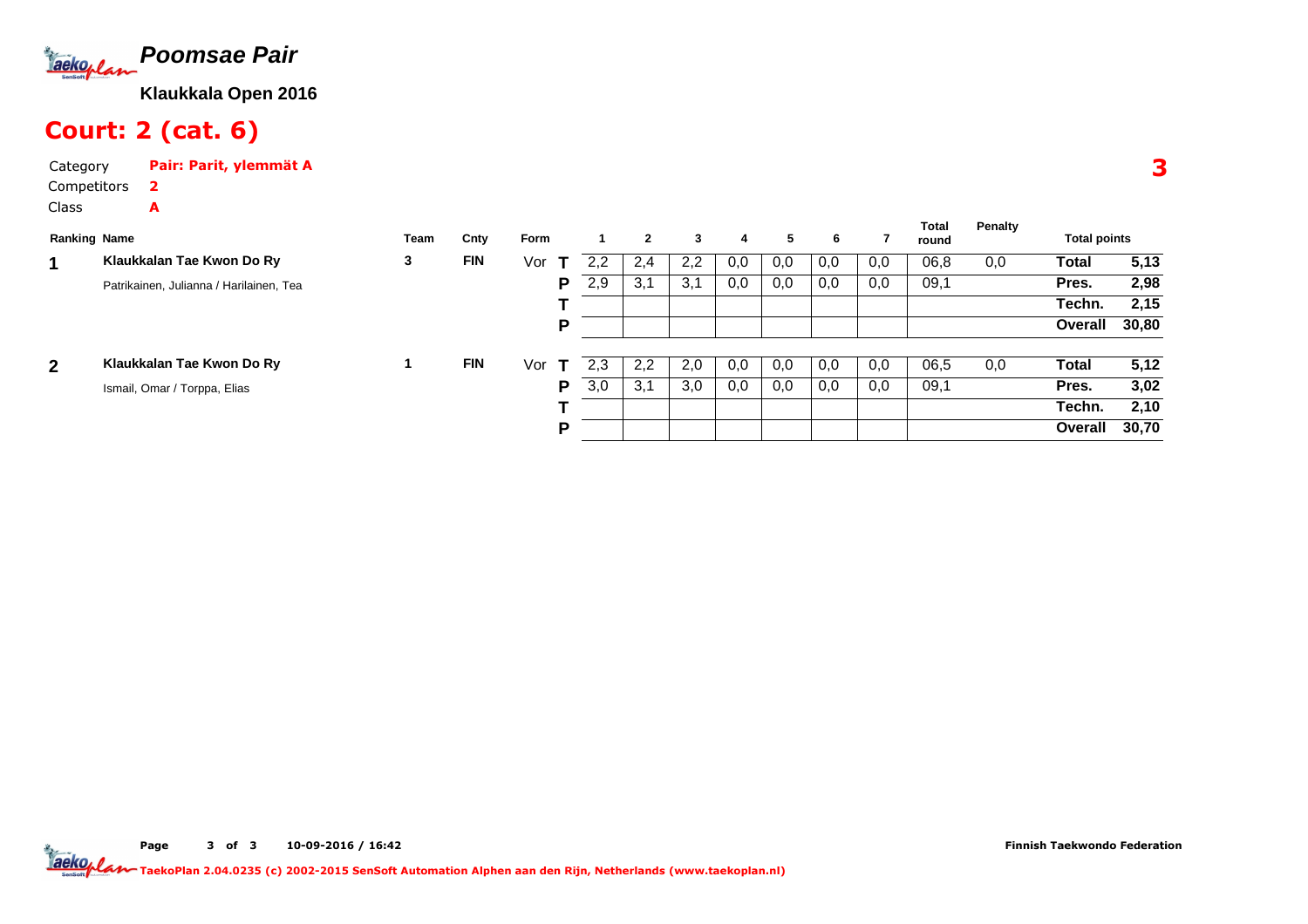

# Court: 2 (cat. 6)

A

Category Pair: Parit, ylemmät ACompetitors2

Class

| <b>Ranking Name</b> |                                         | Team | Cnty       | Form |   |     | $\mathbf{2}$ | 3   | 4   | 5.  | 6   |     | <b>Total</b><br>round | Penalty | <b>Total points</b> |       |
|---------------------|-----------------------------------------|------|------------|------|---|-----|--------------|-----|-----|-----|-----|-----|-----------------------|---------|---------------------|-------|
|                     | Klaukkalan Tae Kwon Do Ry               | 3    | <b>FIN</b> | Vor  |   | 2,2 | 2,4          | 2,2 | 0,0 | 0,0 | 0,0 | 0,0 | 06,8                  | 0,0     | Total               | 5,13  |
|                     | Patrikainen, Julianna / Harilainen, Tea |      |            |      | P | 2,9 | 3,1          | 3,1 | 0,0 | 0,0 | 0,0 | 0,0 | 09,1                  |         | Pres.               | 2,98  |
|                     |                                         |      |            |      |   |     |              |     |     |     |     |     |                       |         | Techn.              | 2,15  |
|                     |                                         |      |            |      | P |     |              |     |     |     |     |     |                       |         | Overall             | 30,80 |
| $\mathbf{2}$        | Klaukkalan Tae Kwon Do Ry               |      | <b>FIN</b> | Vor  |   | 2,3 | 2,2          | 2,0 | 0,0 | 0,0 | 0,0 | 0,0 | 06,5                  | 0,0     | Total               | 5,12  |
|                     | Ismail, Omar / Torppa, Elias            |      |            |      | P | 3,0 | 3,1          | 3,0 | 0,0 | 0,0 | 0,0 | 0,0 | 09,1                  |         | Pres.               | 3,02  |
|                     |                                         |      |            |      |   |     |              |     |     |     |     |     |                       |         | Techn.              | 2,10  |
|                     |                                         |      |            |      | P |     |              |     |     |     |     |     |                       |         | Overall             | 30,70 |

3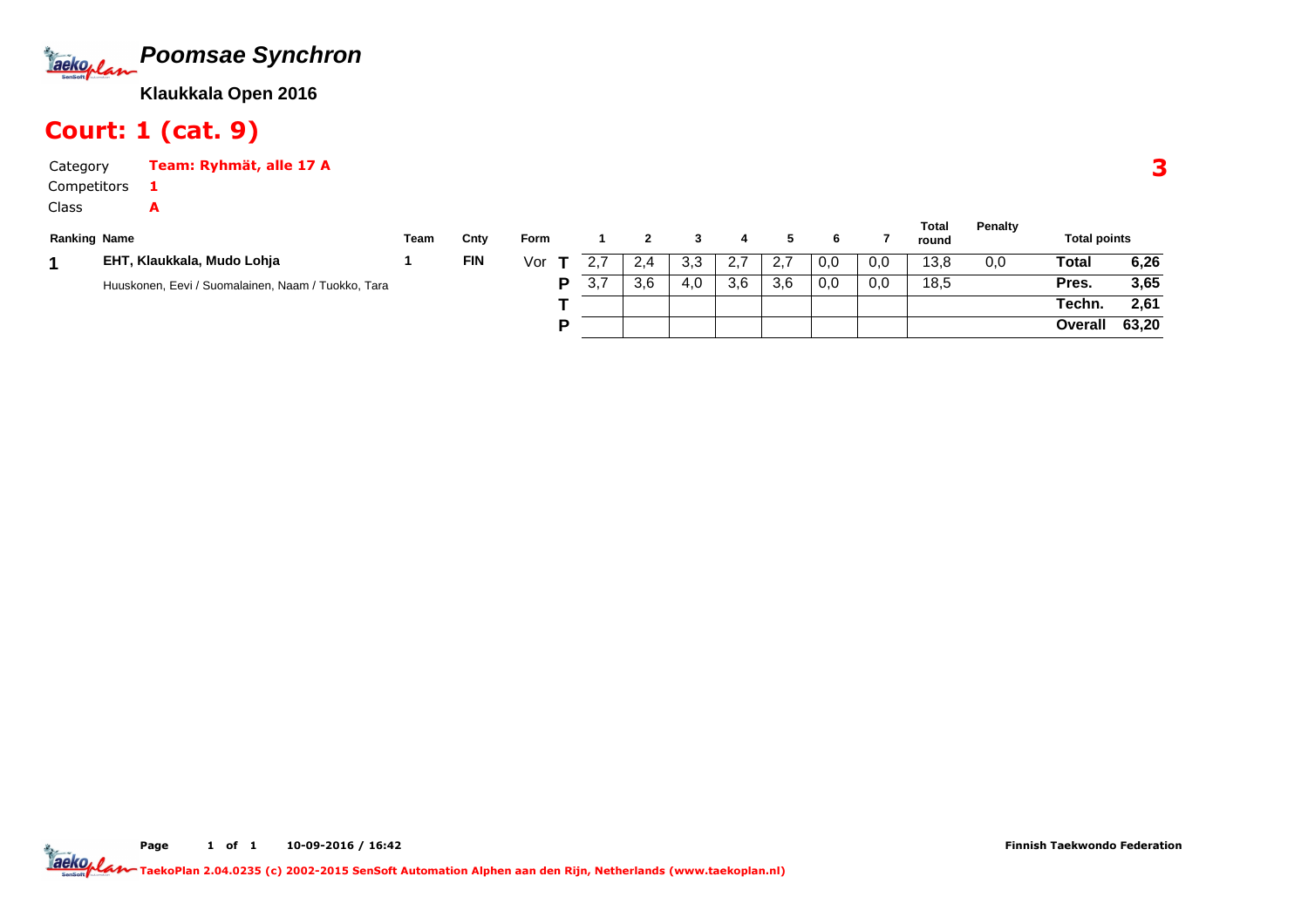

### Court: 1 (cat. 9)

1A

CategoryTeam: Ryhmät, alle 17 A

Competitors

Class

| <b>Ranking Name</b> |                                                    | Team | Cnty       | <b>Form</b> |     |     |     |       |      |     |     | Total<br>round | Penalty | <b>Total points</b> |       |
|---------------------|----------------------------------------------------|------|------------|-------------|-----|-----|-----|-------|------|-----|-----|----------------|---------|---------------------|-------|
|                     | EHT, Klaukkala, Mudo Lohja                         |      | <b>FIN</b> | Vor         |     | 2.4 | 3,3 | - 2.7 | -2.7 | 0,0 | 0,0 | 13,8           | 0,0     | Total               | 6,26  |
|                     | Huuskonen, Eevi / Suomalainen, Naam / Tuokko, Tara |      |            | D           | 3,7 | 3,6 | 4.0 | 3,6   | 3.6  | 0,0 | 0,0 | 18,5           |         | Pres.               | 3,65  |
|                     |                                                    |      |            |             |     |     |     |       |      |     |     |                |         | Techn.              | 2,61  |
|                     |                                                    |      |            | D           |     |     |     |       |      |     |     |                |         | Overall             | 63,20 |

3

**Total**